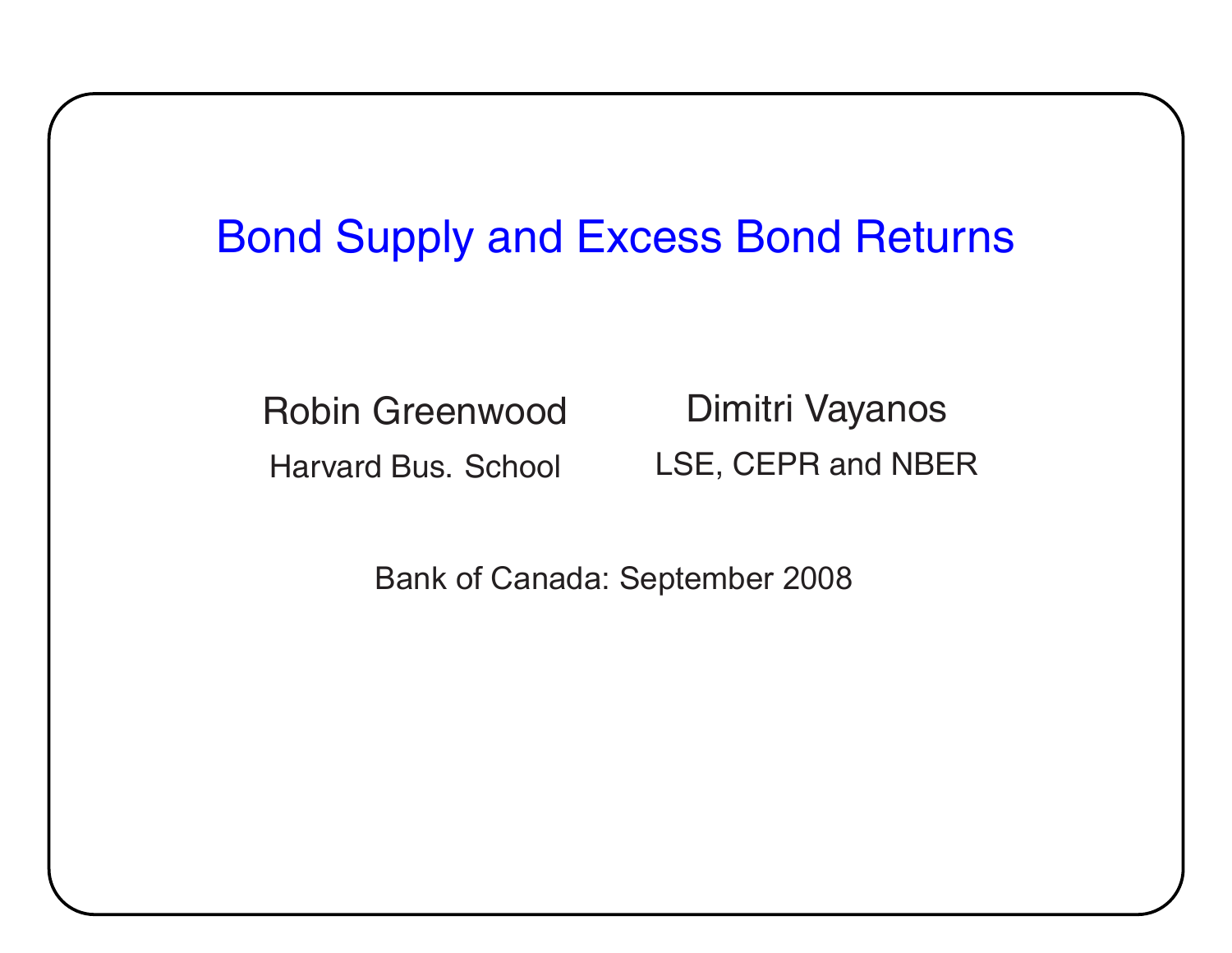## Bond Supply and Excess Bond Returns

Robin Greenwood

Harvard Bus. School

Dimitri Vayanos LSE, CEPR and NBE R

Bank of Canada: September 2008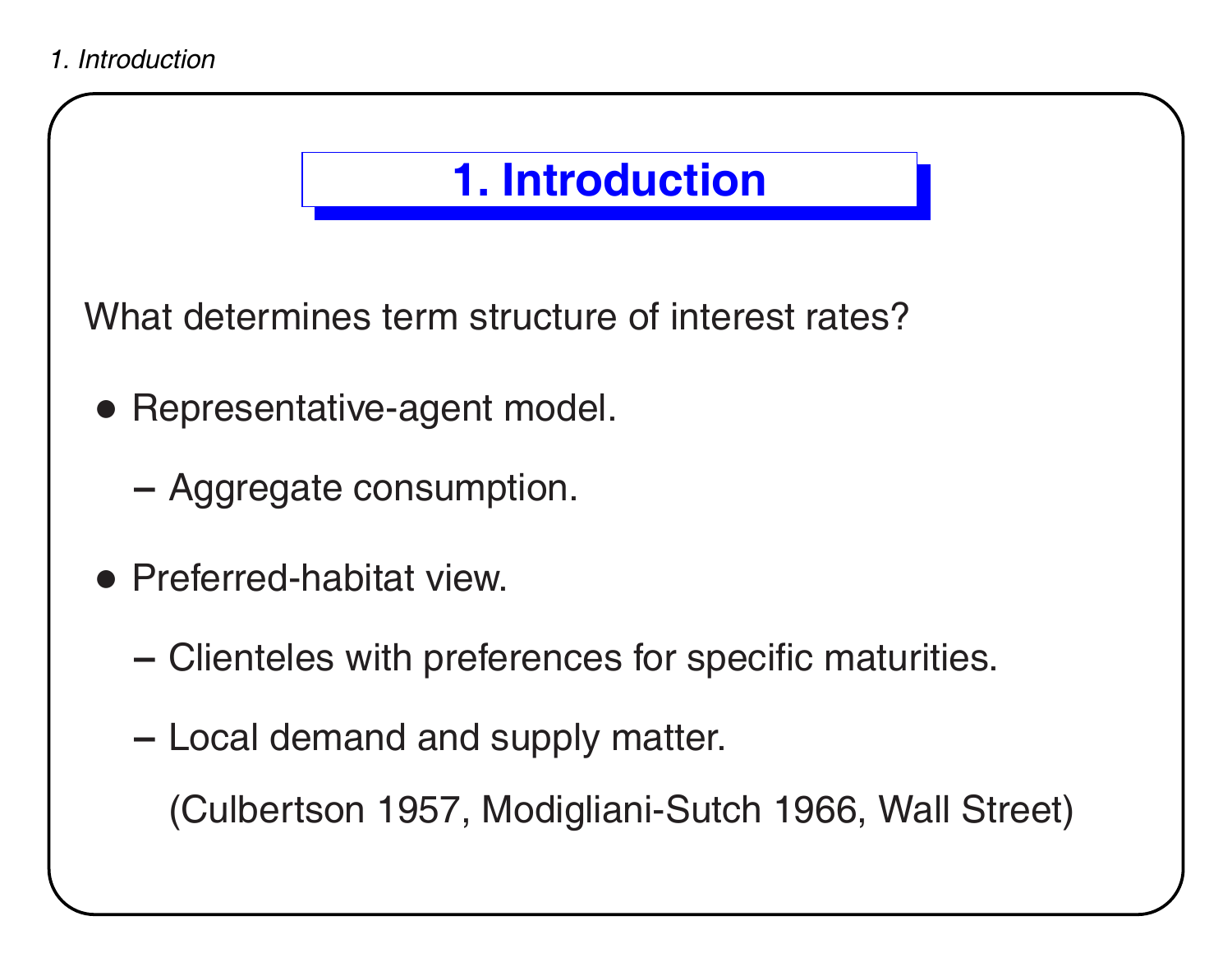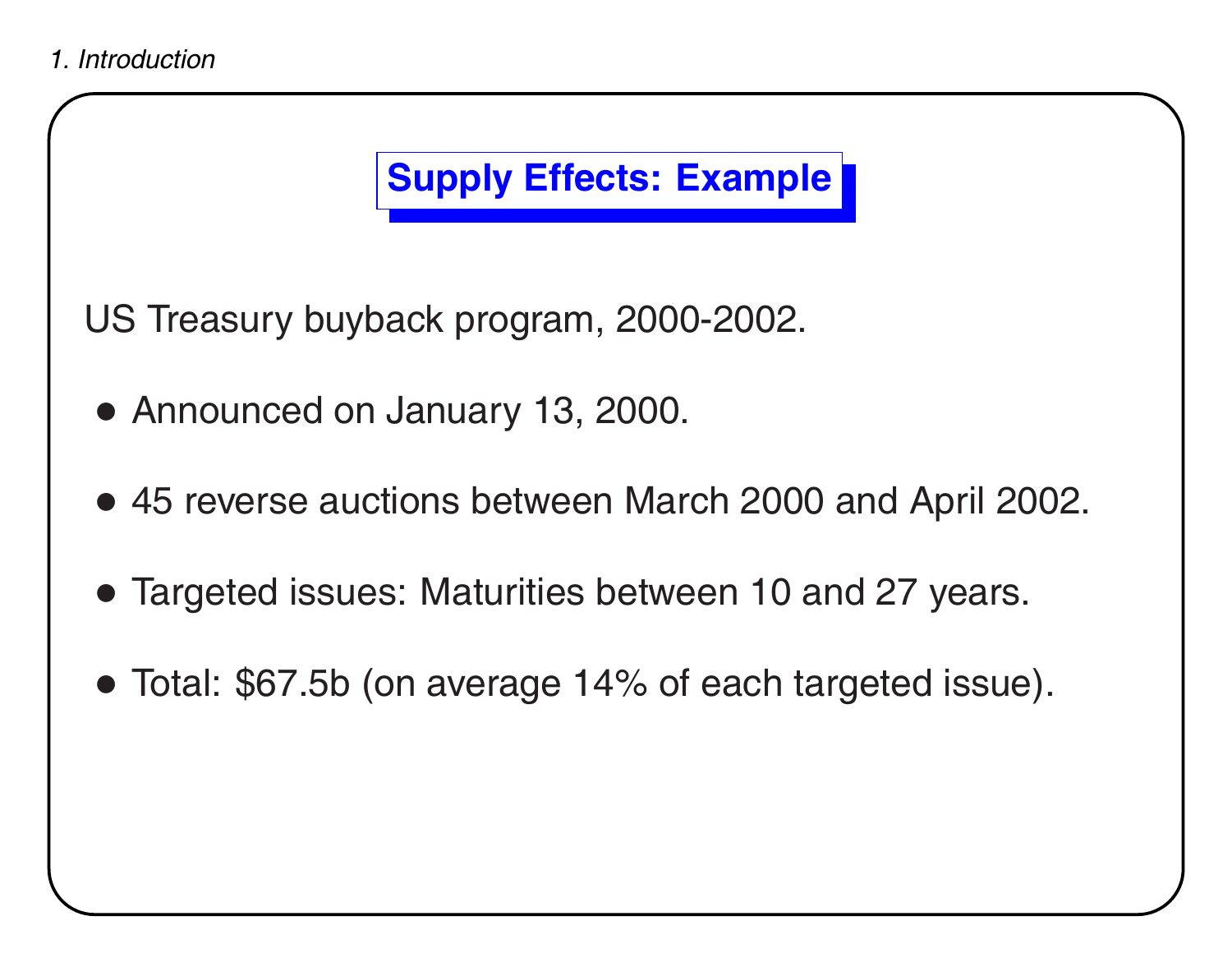## **Supply Effects: Example**

US Treasury buyback program, 2000-2002.

- Announced on January 13, 2000.
- 45 reverse auctions between March 2000 and April 2002.
- Targeted issues: Maturities between 10 and 27 years.
- Total: \$67.5b (on average 14% of each targeted issue).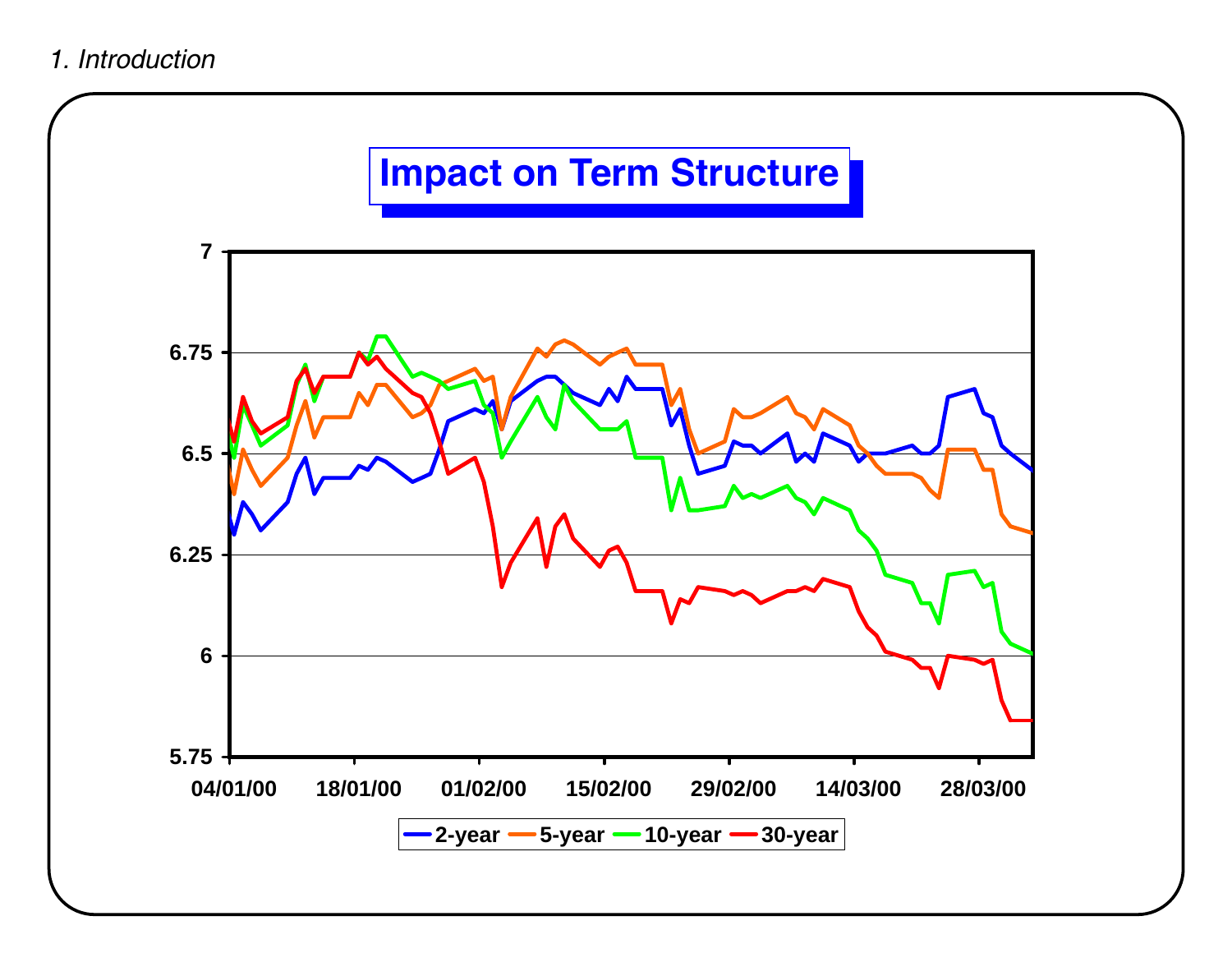#### *1. Introduction*

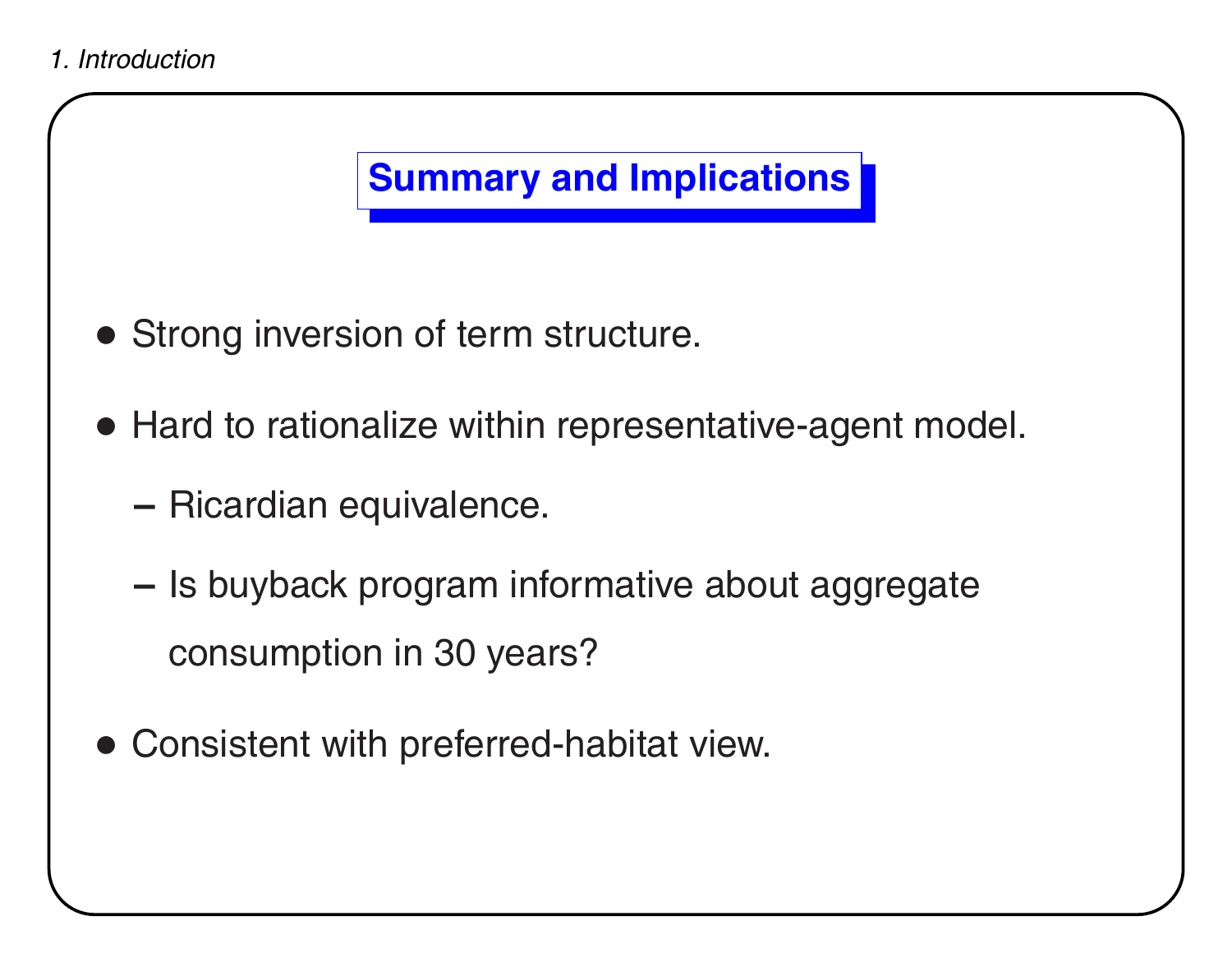## **Summary and Implications**

- Strong inversion of term structure.
- Hard to rationalize within representative-agent model.
	- **–**- Ricardian equivalence.
	- **–**- Is buyback program informative about aggregate consumption in 30 years?
- Consistent with preferred-habitat view.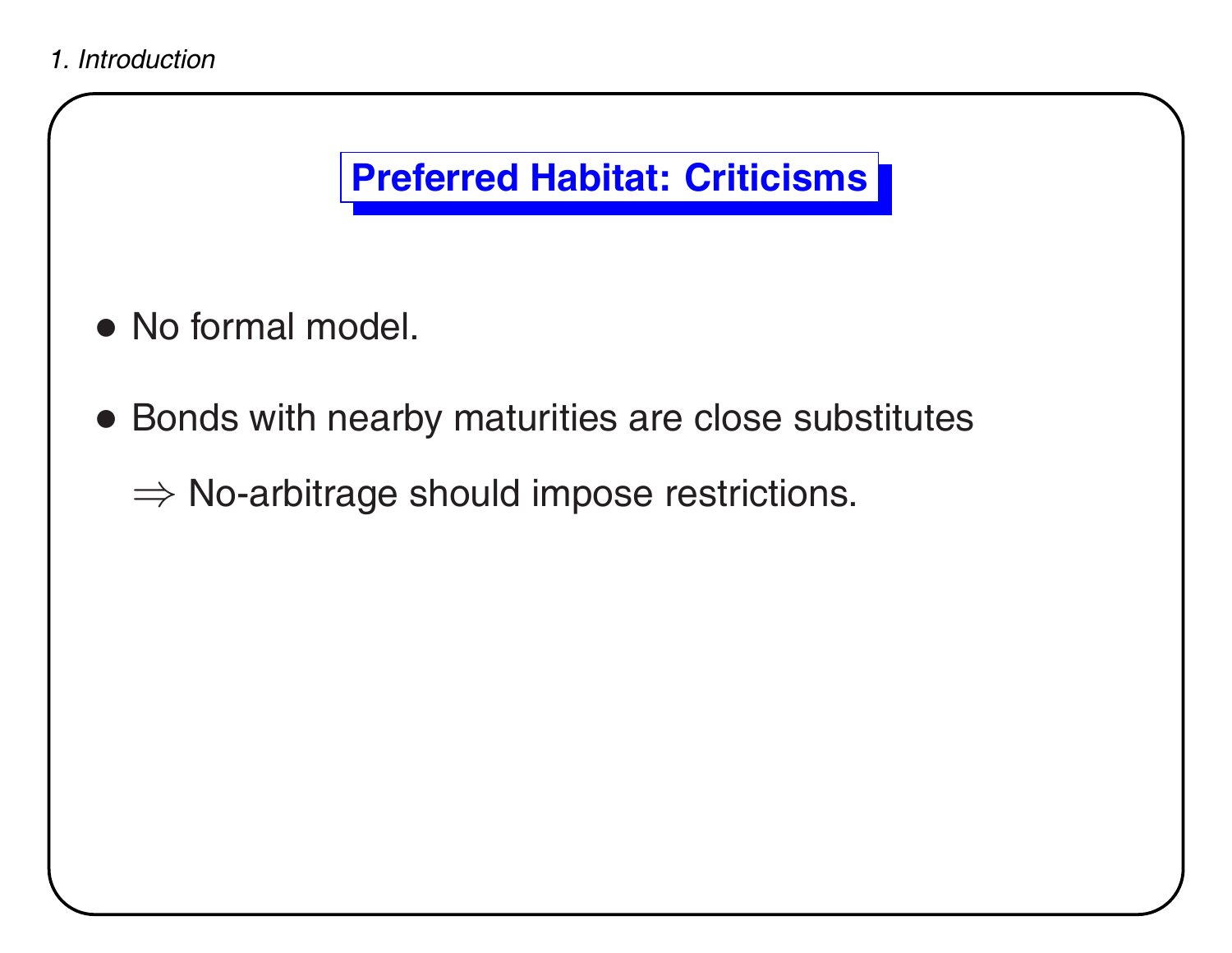

### **Preferred Habitat: Criticisms**

- No formal model.
- Bonds with nearby maturities are close substitutes

 $\Rightarrow$  No-arbitrage should impose restrictions.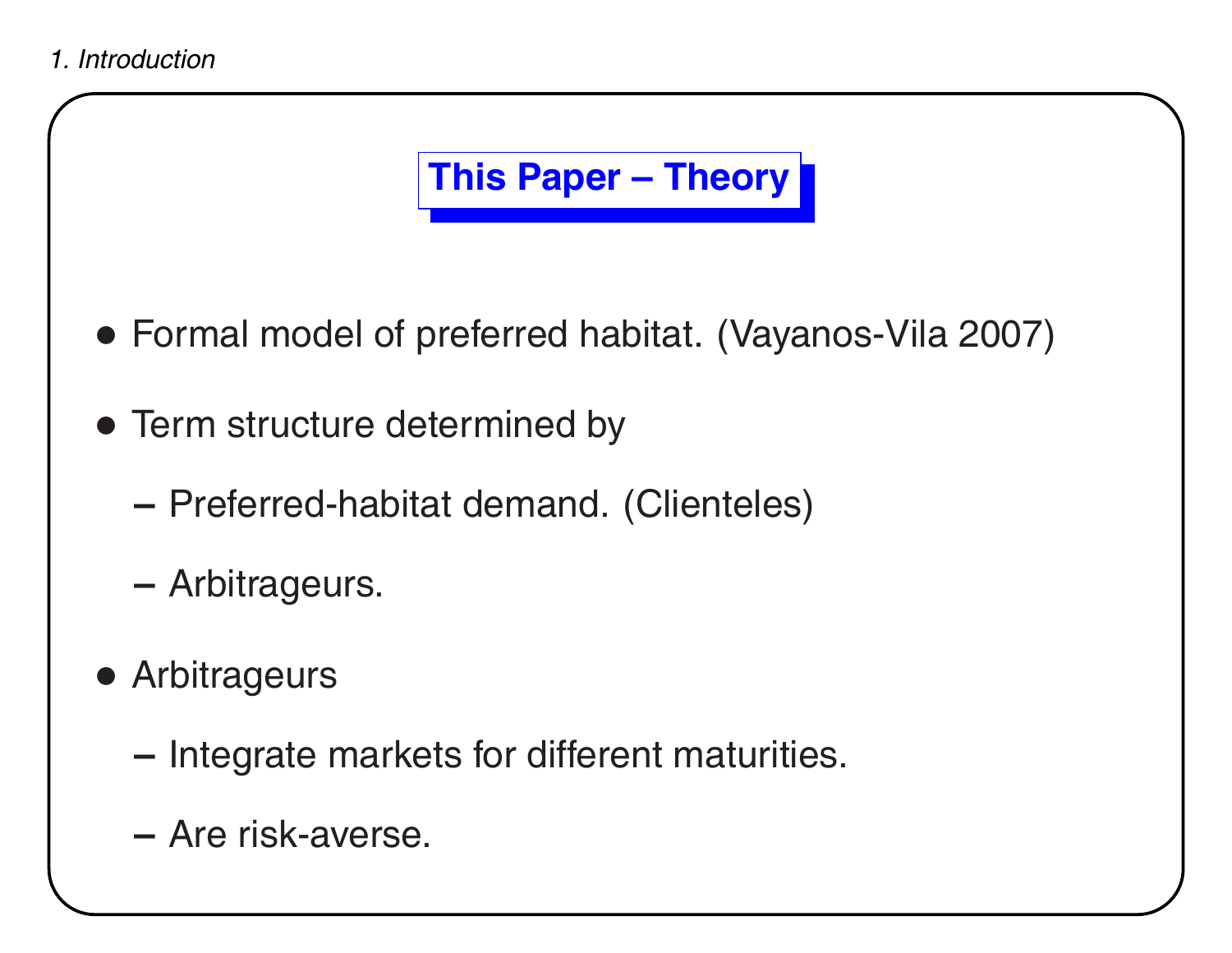

- Formal model of preferred habitat. (Vayanos-Vila 2007)
- Term structure determined by
	- **–**Preferred-habitat demand. (Clienteles)
	- **–**Arbitrageurs.
- Arbitrageurs
	- **–**- Integrate markets for different maturities.
	- **–** Are risk-averse.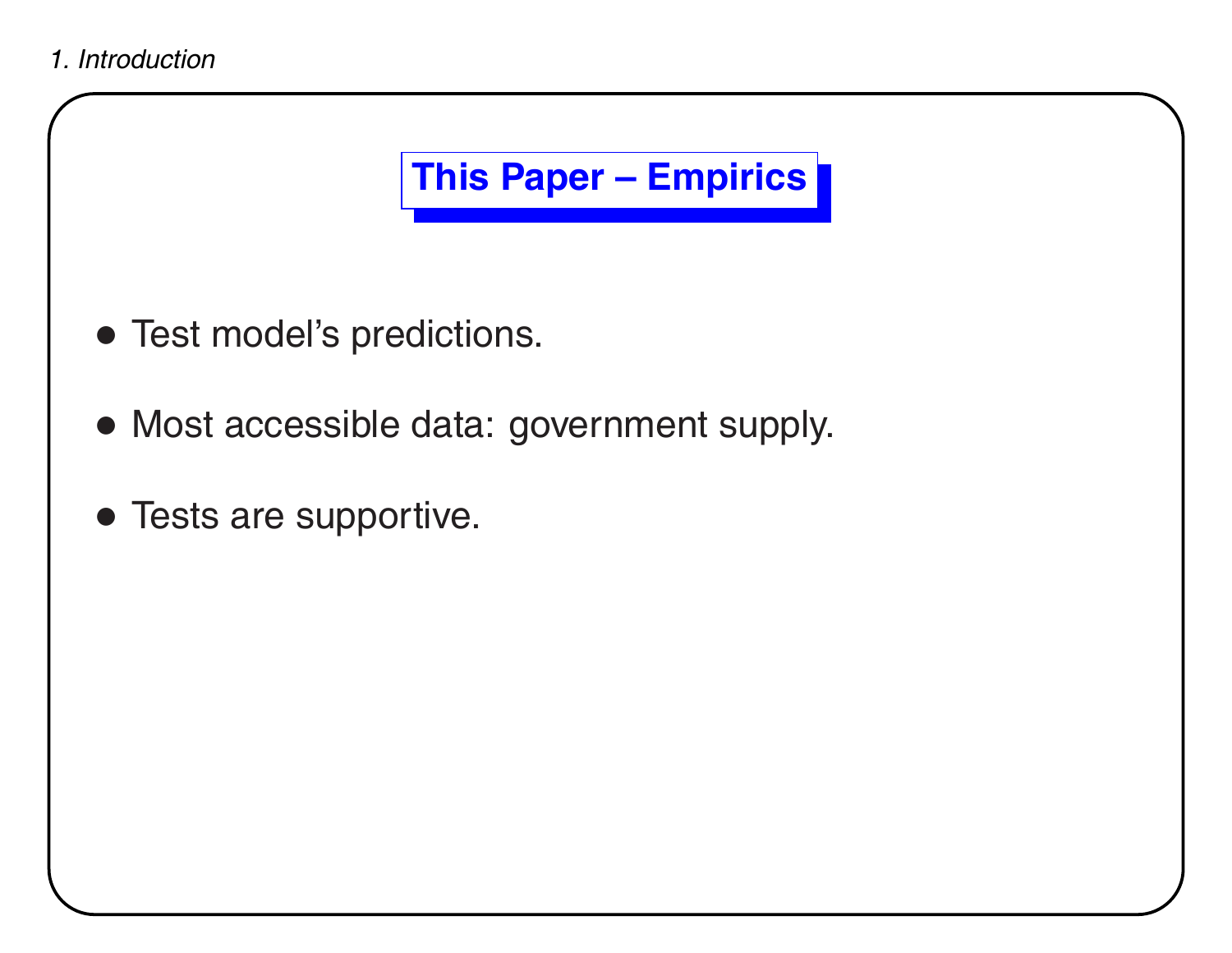# **This Paper – Empirics**

- Test model's predictions.
- Most accessible data: government supply.
- Tests are supportive.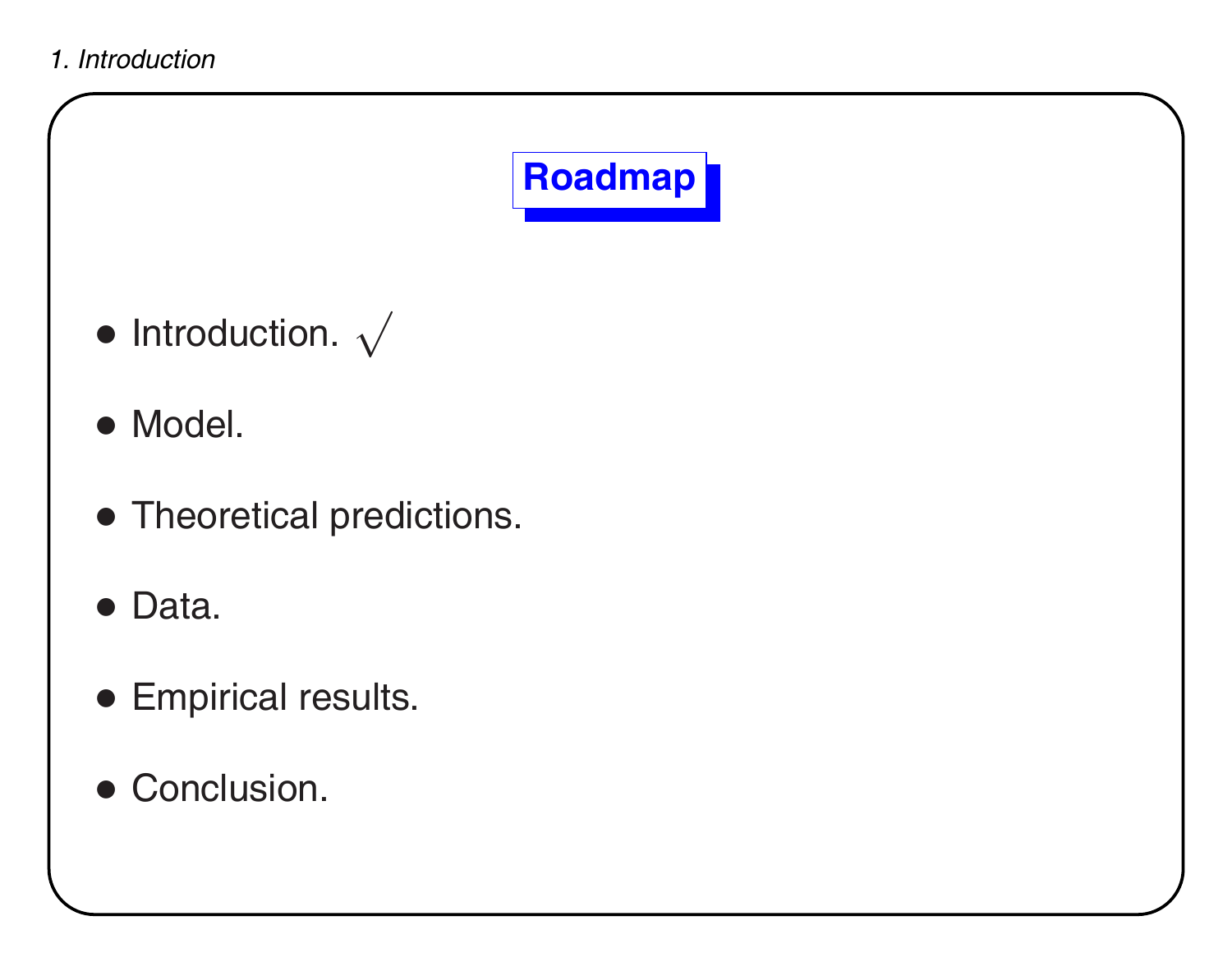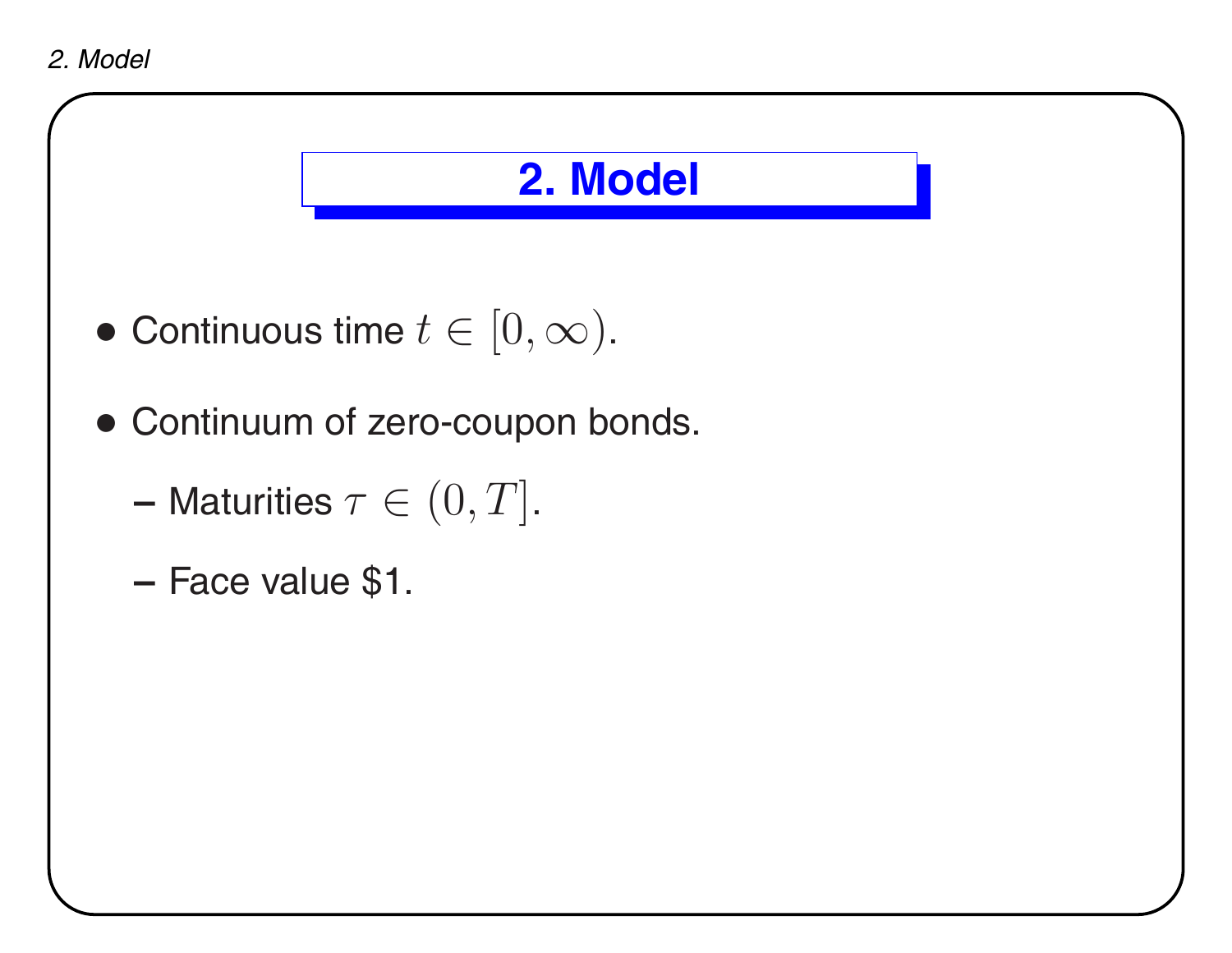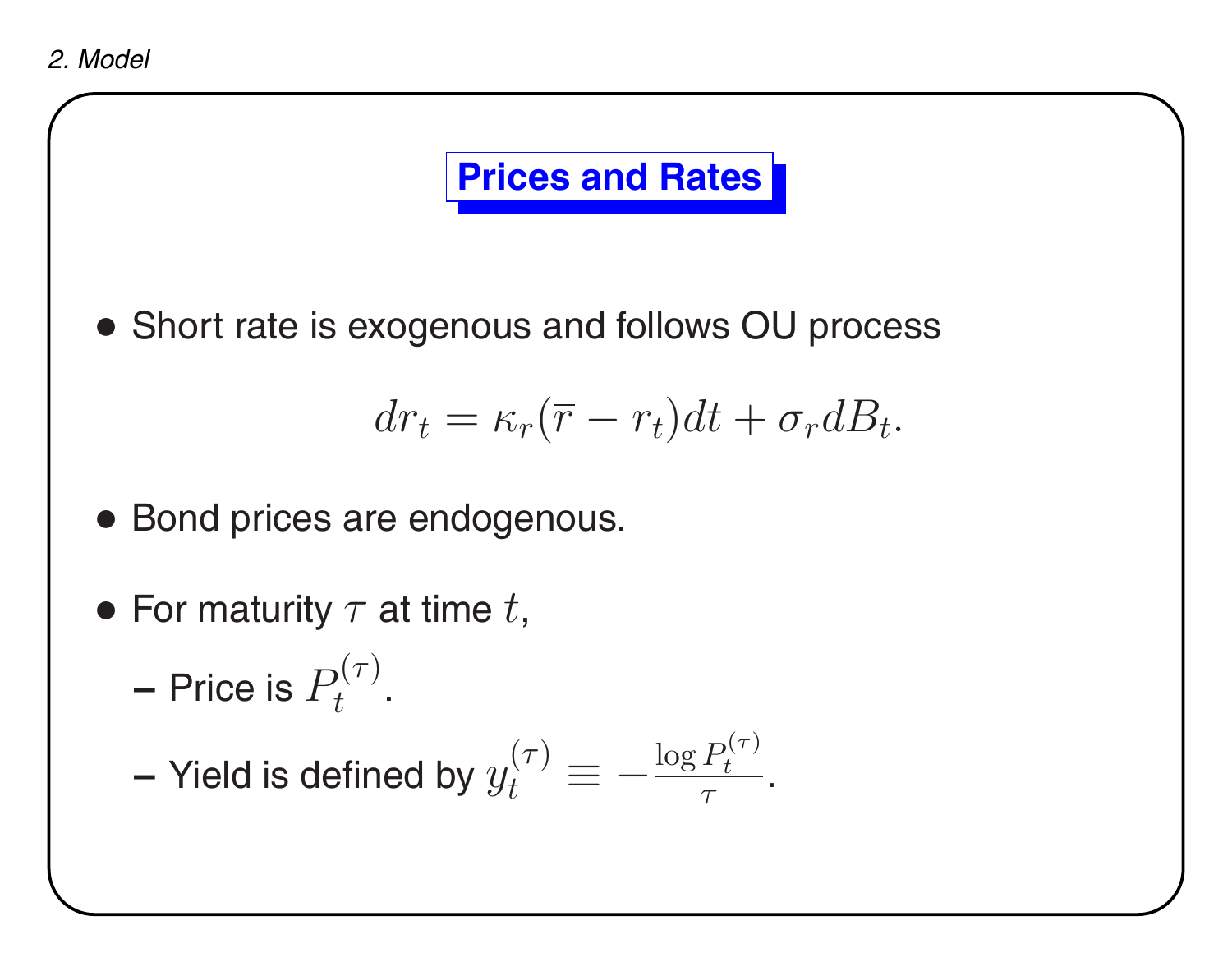# **Prices and Rates**

• Short rate is exogenous and follows OU process

$$
dr_t = \kappa_r(\overline{r} - r_t)dt + \sigma_r dB_t.
$$

- Bond prices are endogenous.
- For maturity  $\tau$  at time  $t,$ 
	- **–**– Price is  $P_t^{(\tau)}.$

– Yield is defined by 
$$
y_t^{(\tau)}\equiv-\frac{\log P_t^{(\tau)}}{\tau}.
$$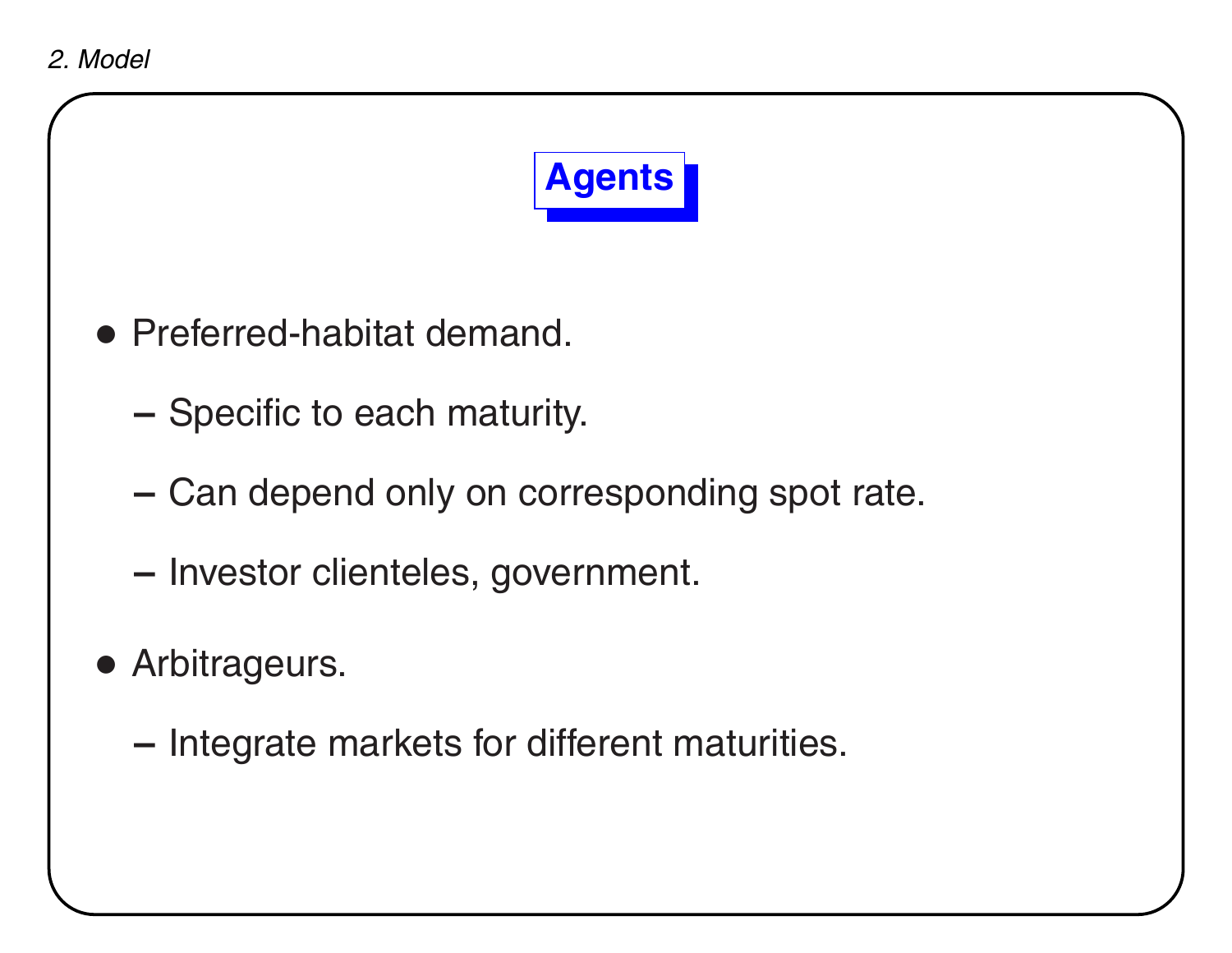*2. Model*



- Preferred-habitat demand.
	- **–**- Specific to each maturity.
	- **–**- Can depend only on corresponding spot rate.
	- **–**– Investor clienteles, government.
- Arbitrageurs.
	- **–**- Integrate markets for different maturities.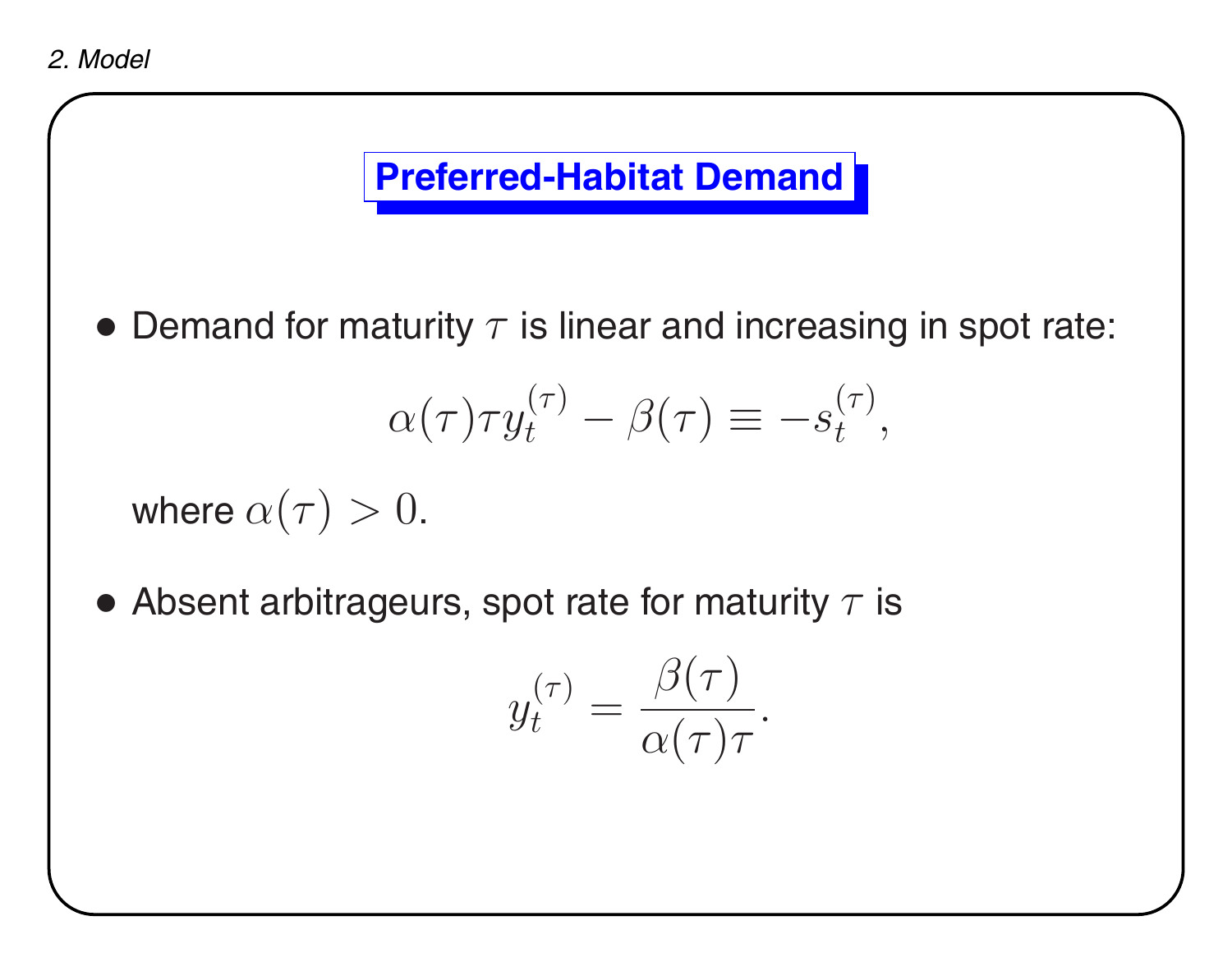## **Preferred-Habitat Demand**

 $\bullet$  Demand for maturity  $\tau$  is linear and increasing in spot rate:

$$
\alpha(\tau)\tau y_t^{(\tau)} - \beta(\tau) \equiv -s_t^{(\tau)},
$$

where  $\alpha(\tau)>0.$ 

 $\bullet$  Absent arbitrageurs, spot rate for maturity  $\tau$  is

$$
y_t^{(\tau)} = \frac{\beta(\tau)}{\alpha(\tau)\tau}.
$$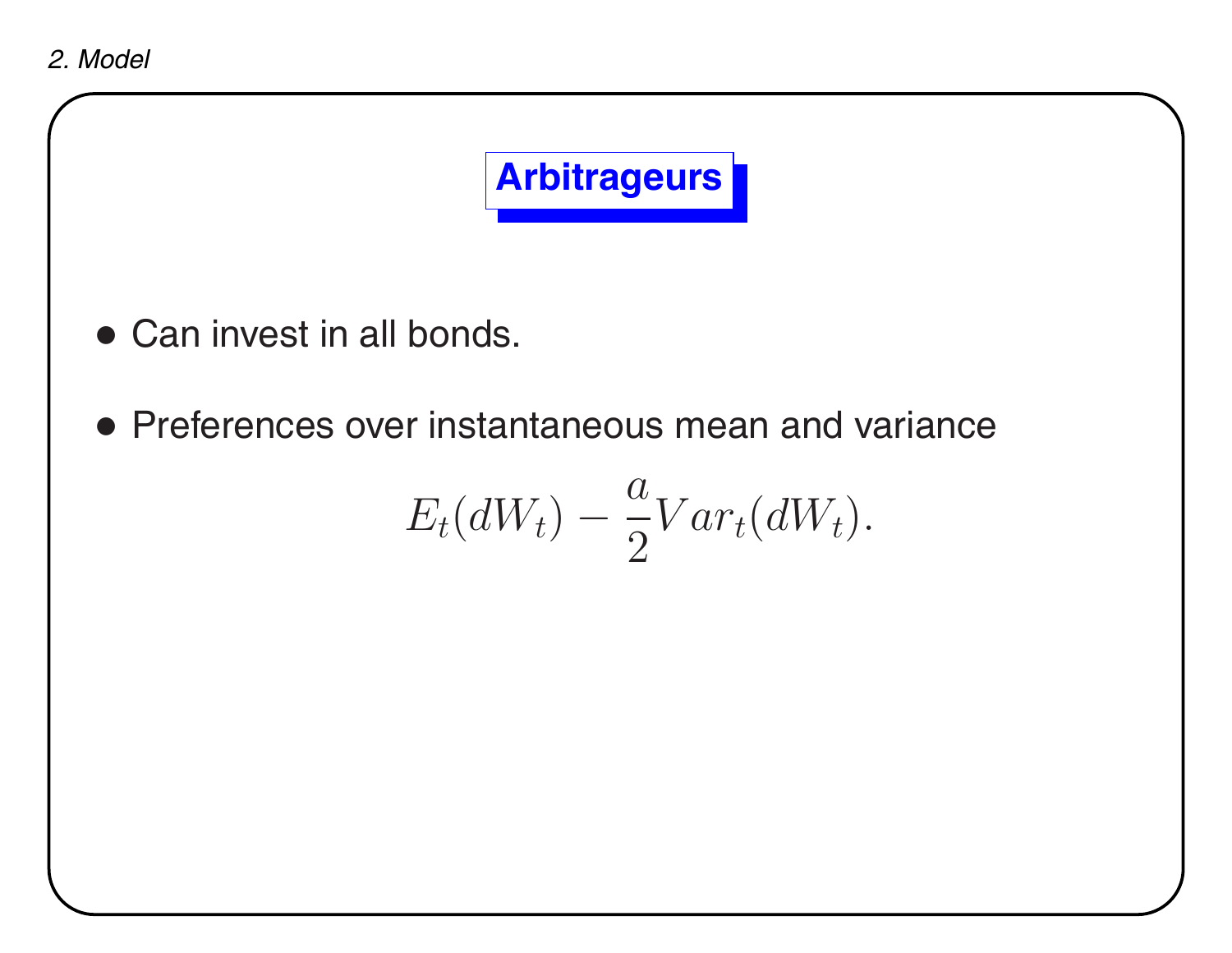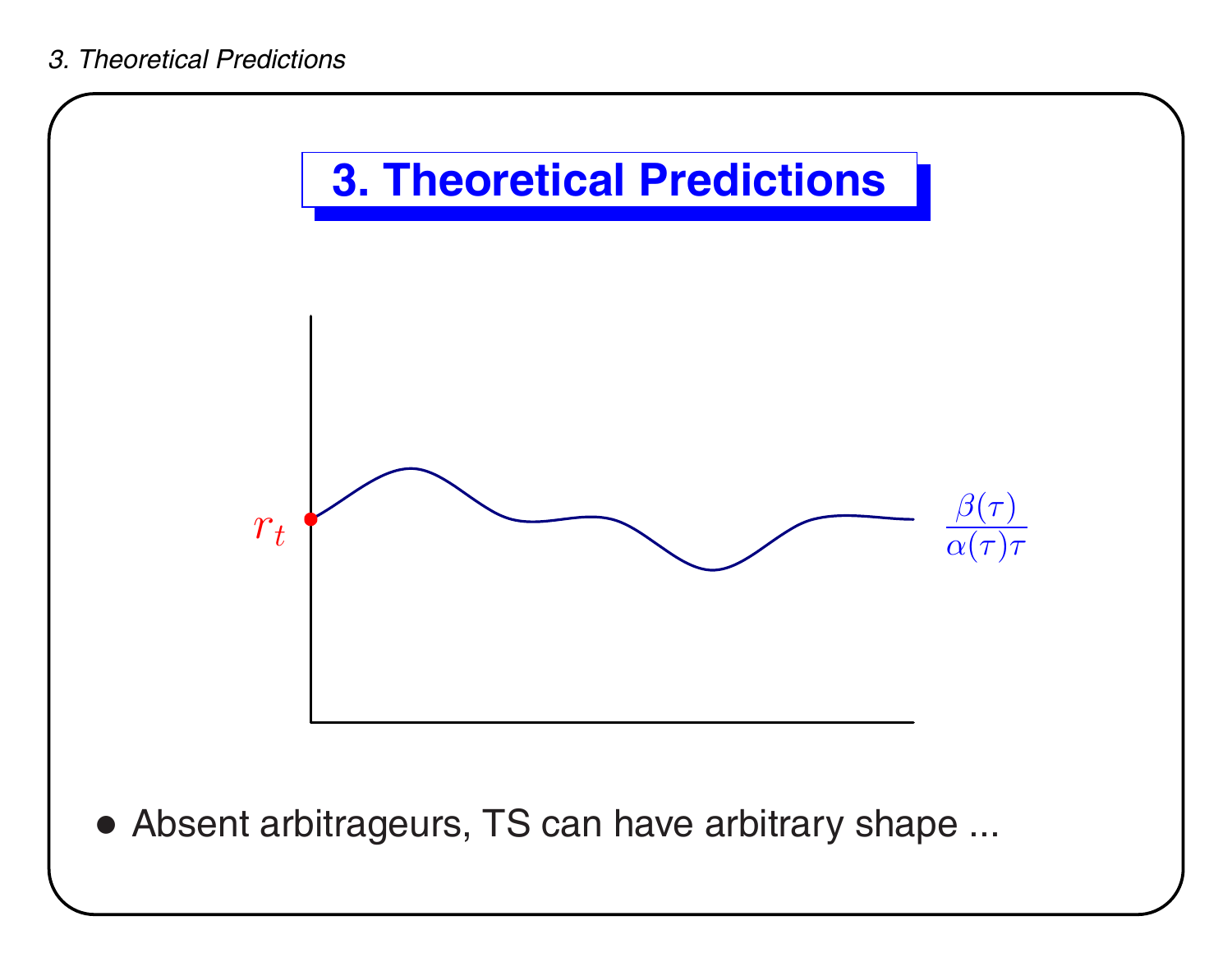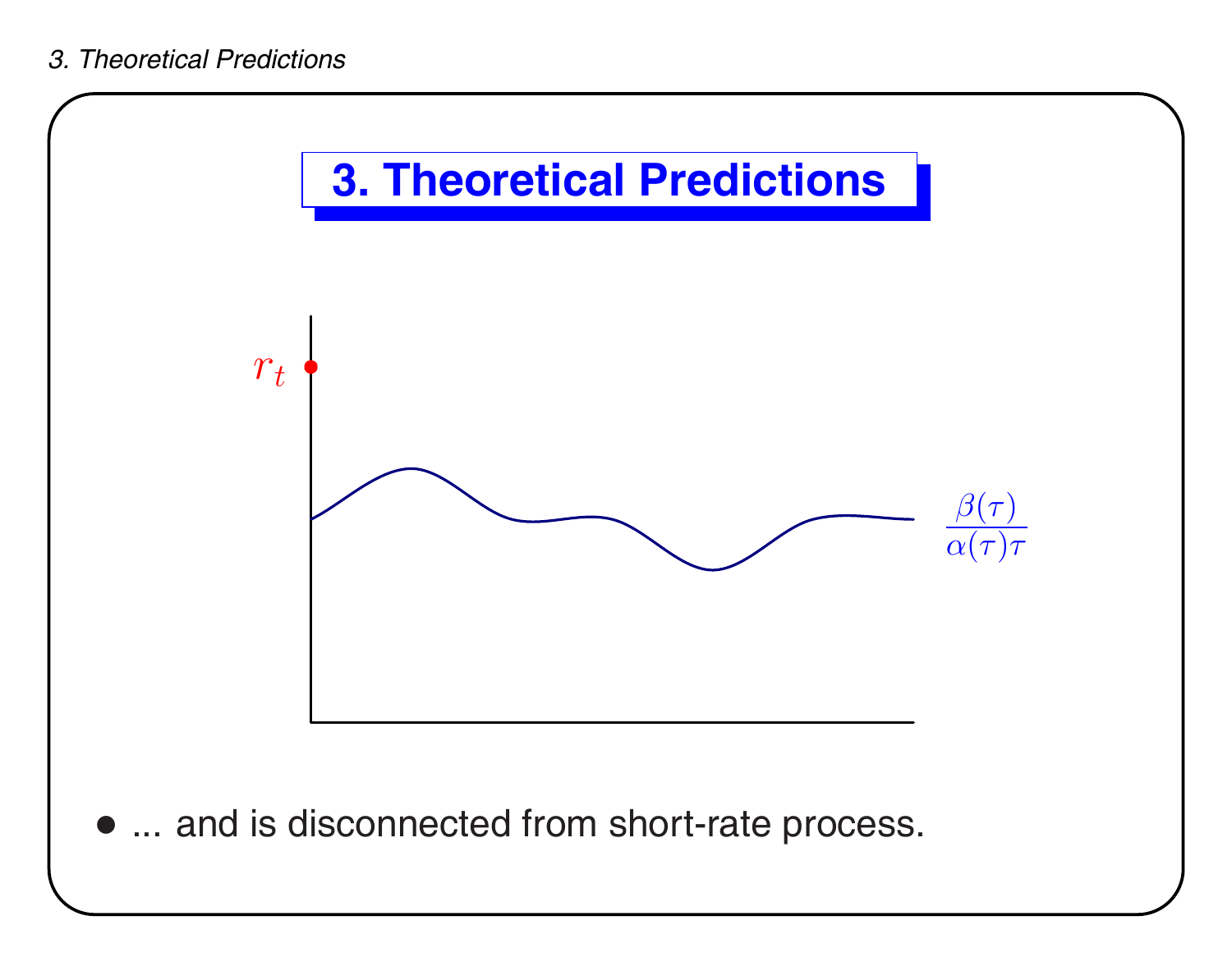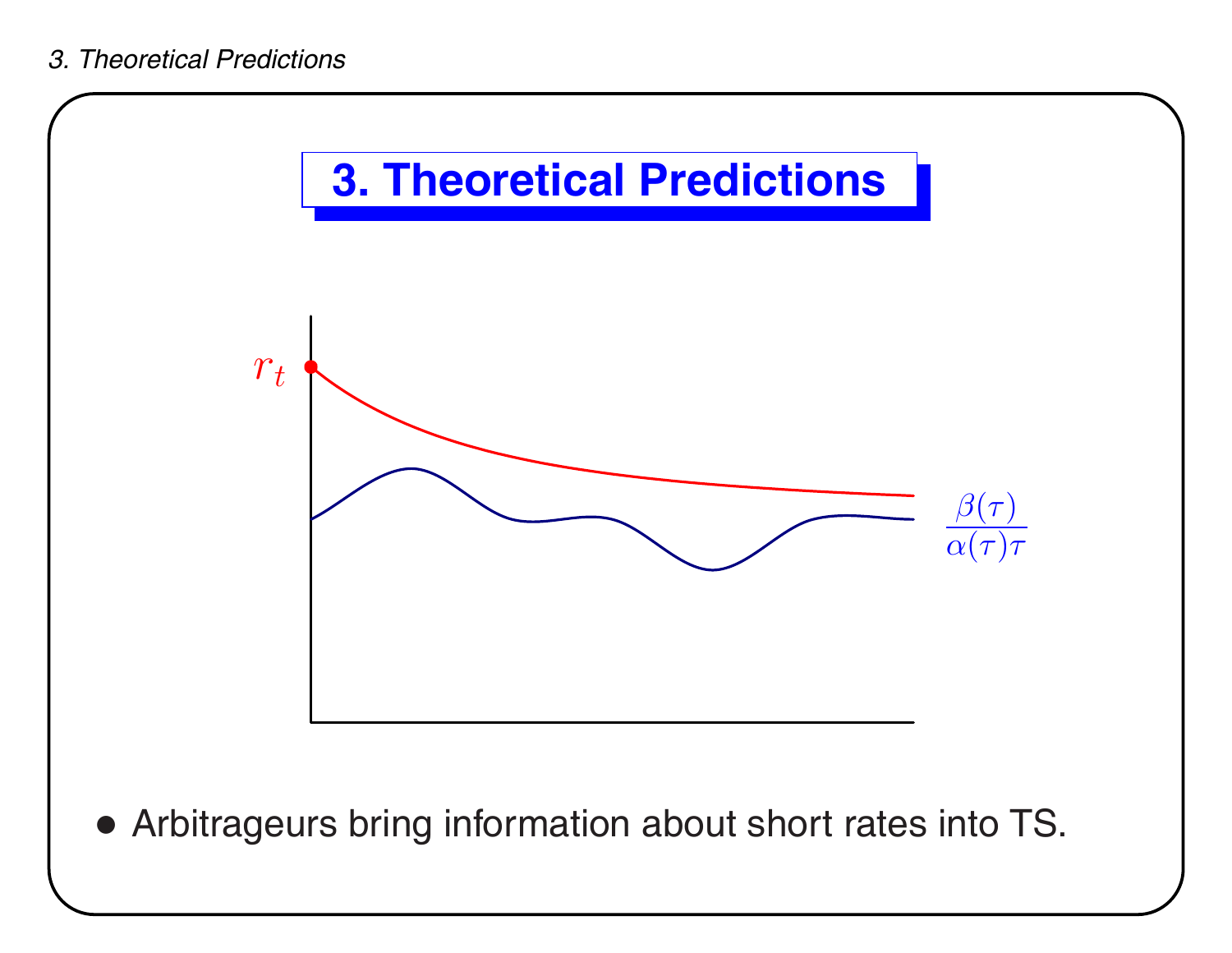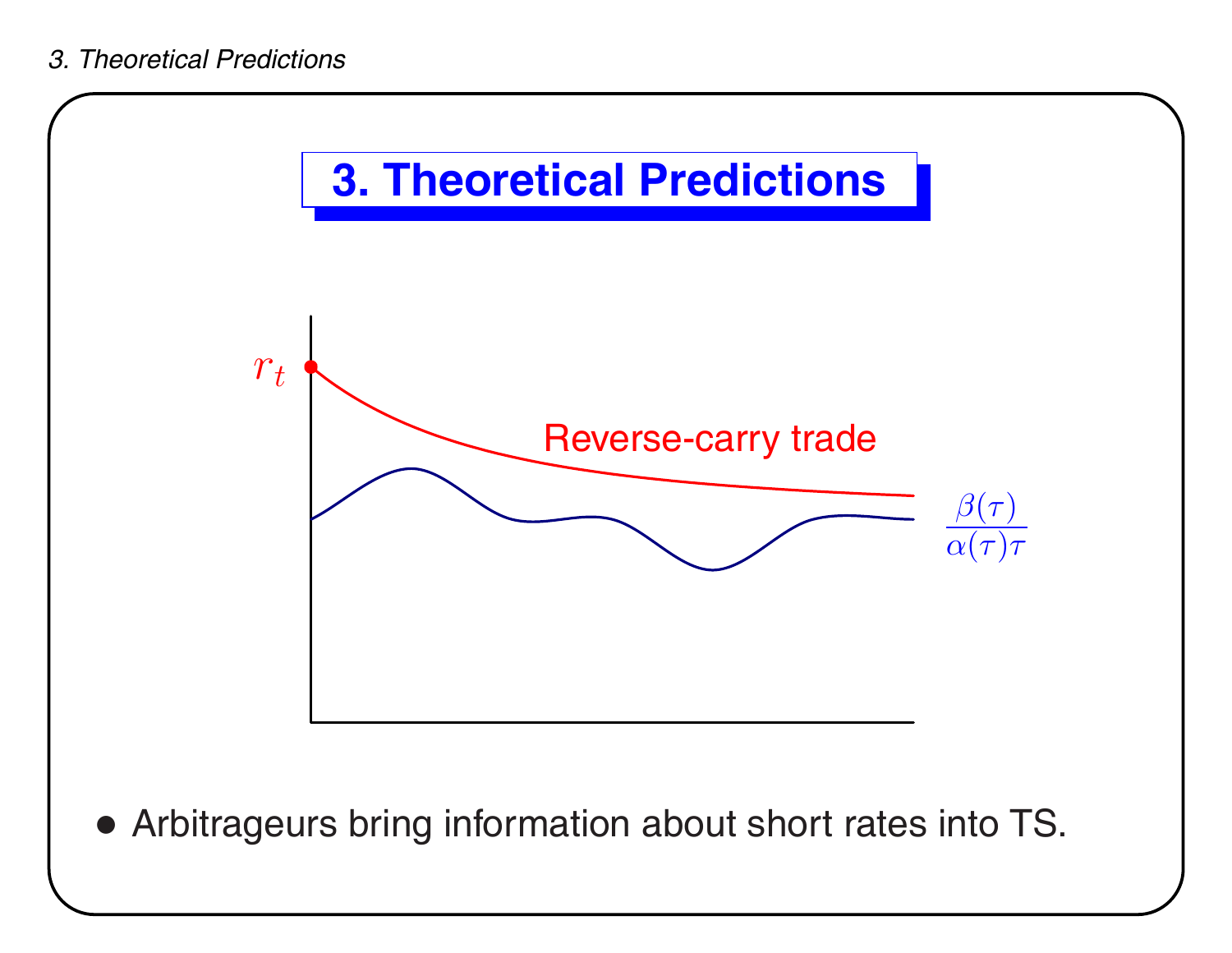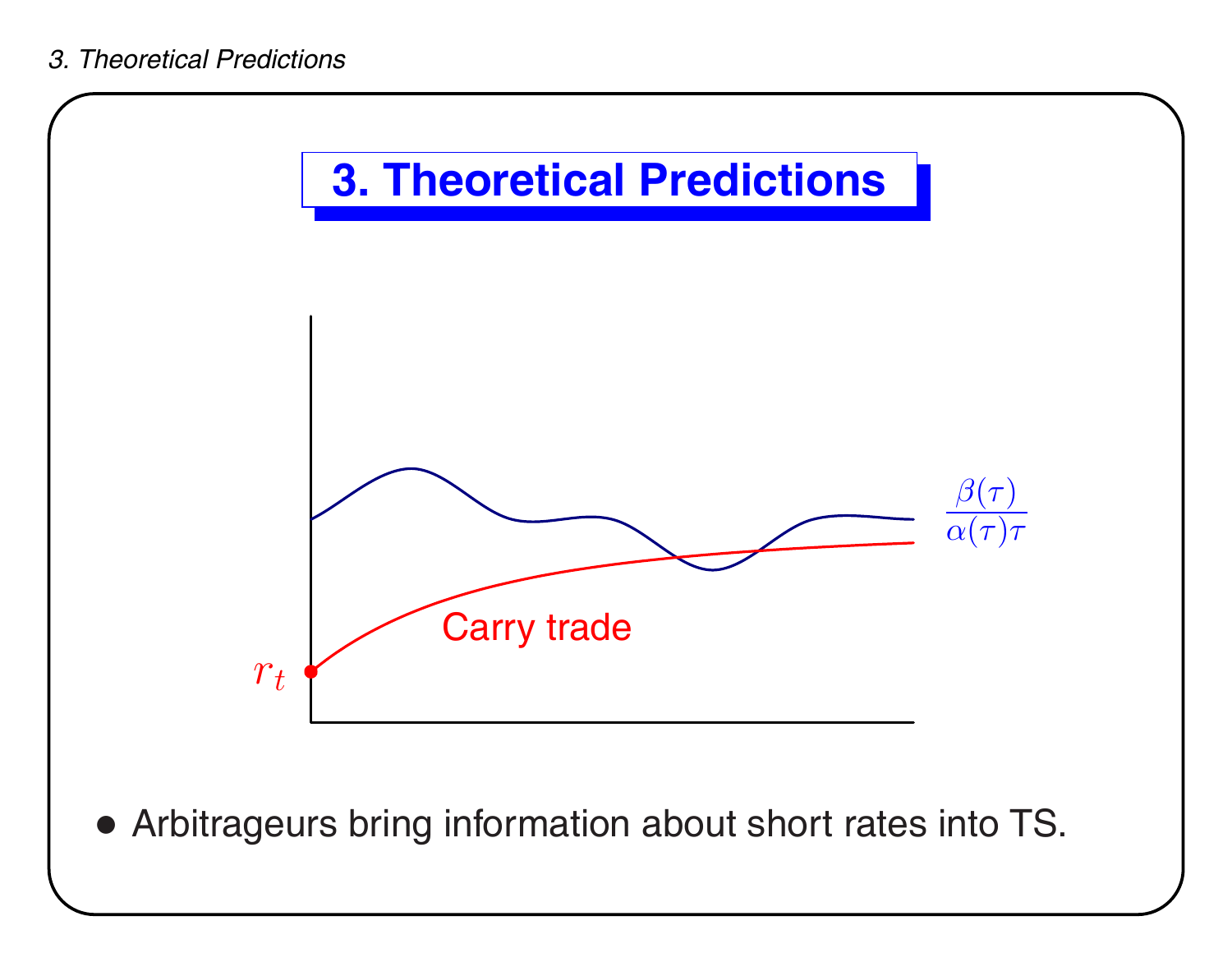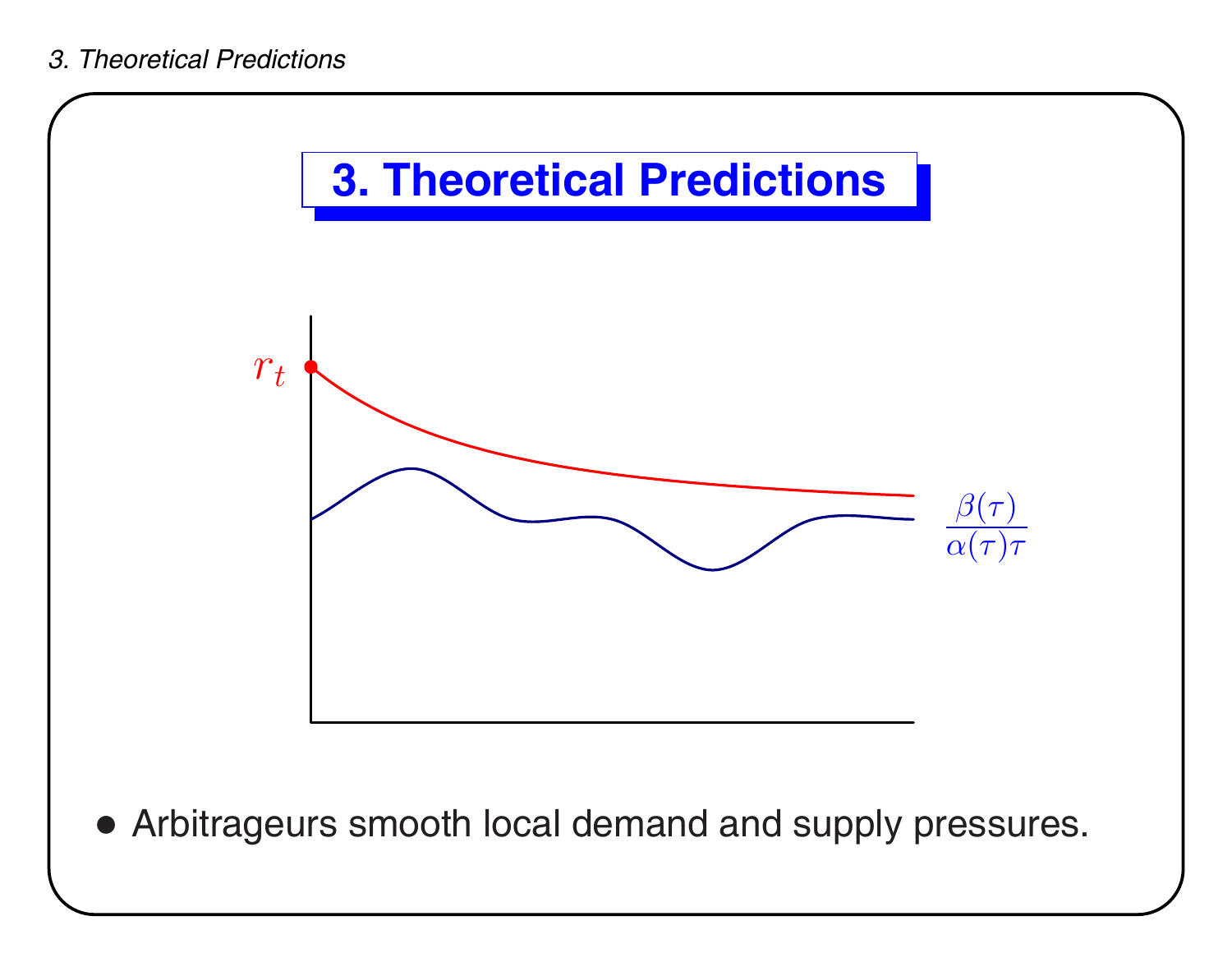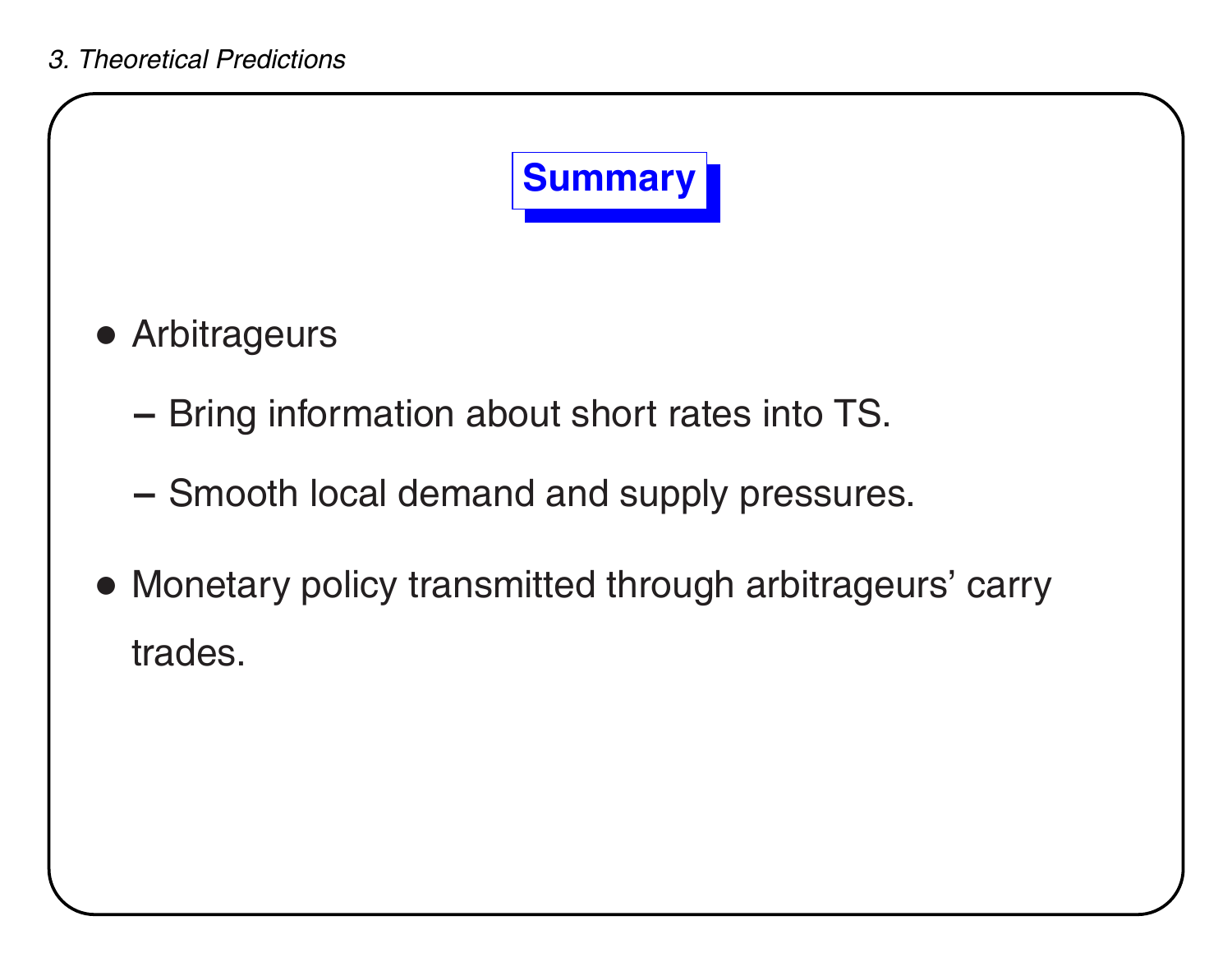

- Arbitrageurs
	- **–** $-$  Bring information about short rates into TS.
	- **–** $-$  Smooth local demand and supply pressures.
- Monetary policy transmitted through arbitrageurs' carry trades.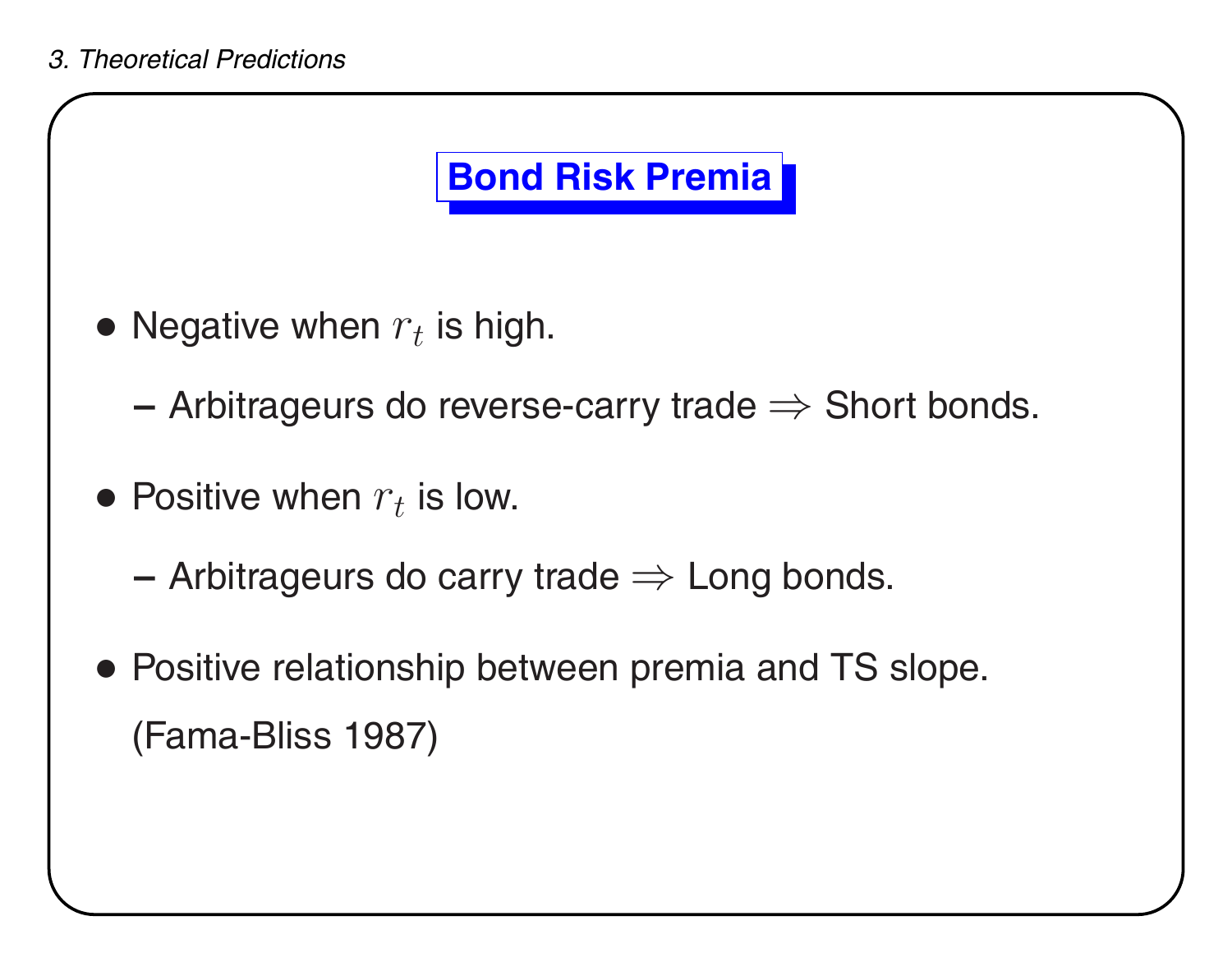## **Bond Risk Premia**

- Negative when  $r_t$  is high.
	- **–**– Arbitrageurs do reverse-carry trade  $\Rightarrow$  Short bonds.
- $\bullet$  Positive when  $r_t$  is low.
	- **–**– Arbitrageurs do carry trade  $\Rightarrow$  Long bonds.
- Positive relationship between premia and TS slope. (Fama-Bliss 1987)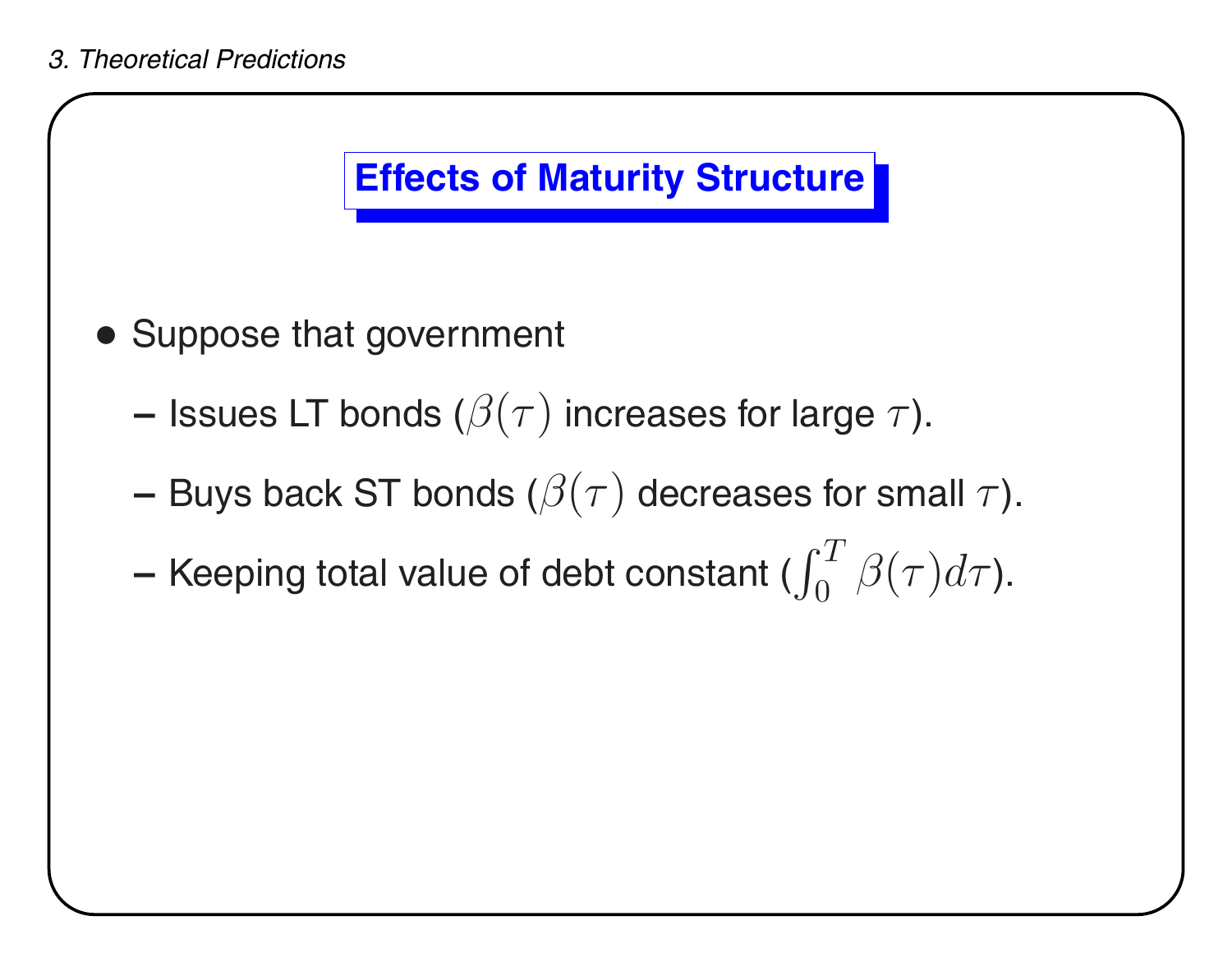

- Suppose that government
	- **–**– Issues LT bonds ( $\beta(\tau)$  increases for large  $\tau$ ).
	- **–**– Buys back ST bonds ( $\beta(\tau)$  decreases for small  $\tau$ ).
	- **–**– Keeping total value of debt constant ( $\int_0^T \beta(\tau) d\tau$ ).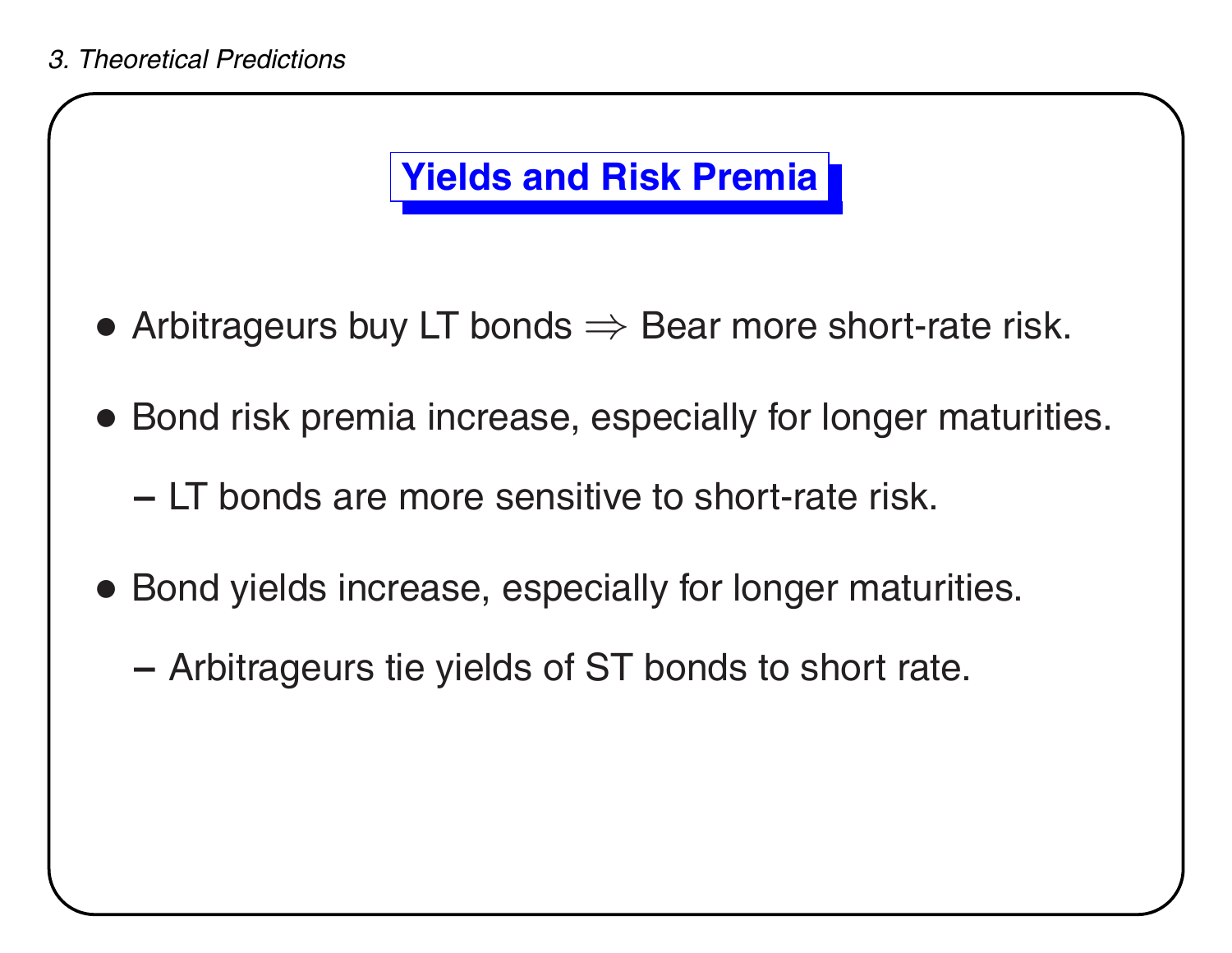## **Yields and Risk Premia**

- $\bullet$  Arbitrageurs buy LT bonds  $\Rightarrow$  Bear more short-rate risk.
- Bond risk premia increase, especially for longer maturities.
	- **–** LT bonds are more sensitive to short-rate risk.
- Bond yields increase, especially for longer maturities.
	- **–**Arbitrageurs tie yields of ST bonds to short rate.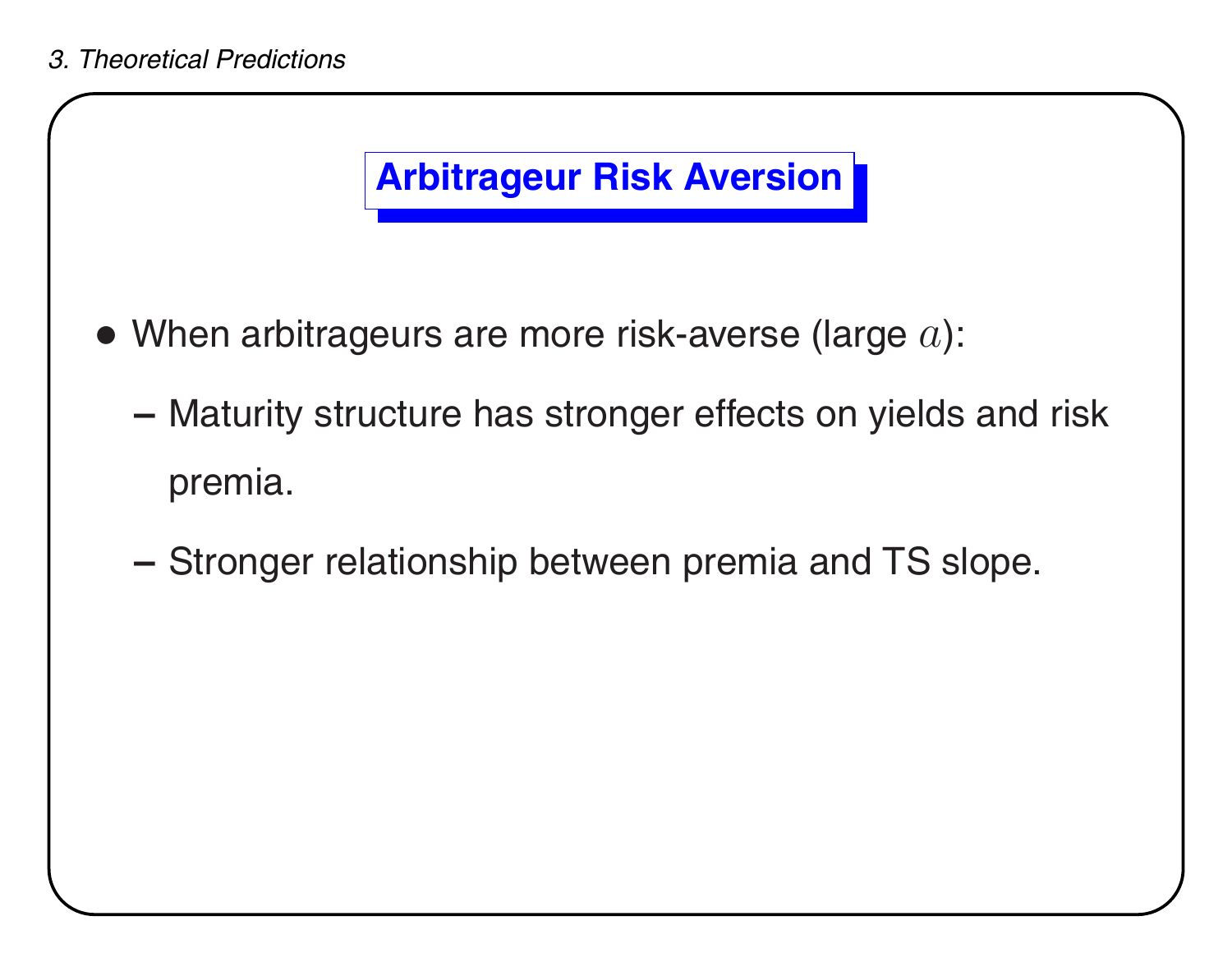## **Arbitrageur Risk Aversion**

- $\bullet$  When arbitrageurs are more risk-averse (large  $a$ ):
	- **–** Maturity structure has stronger effects on yields and risk premia.
	- Stronger relationship between premia and TS slope.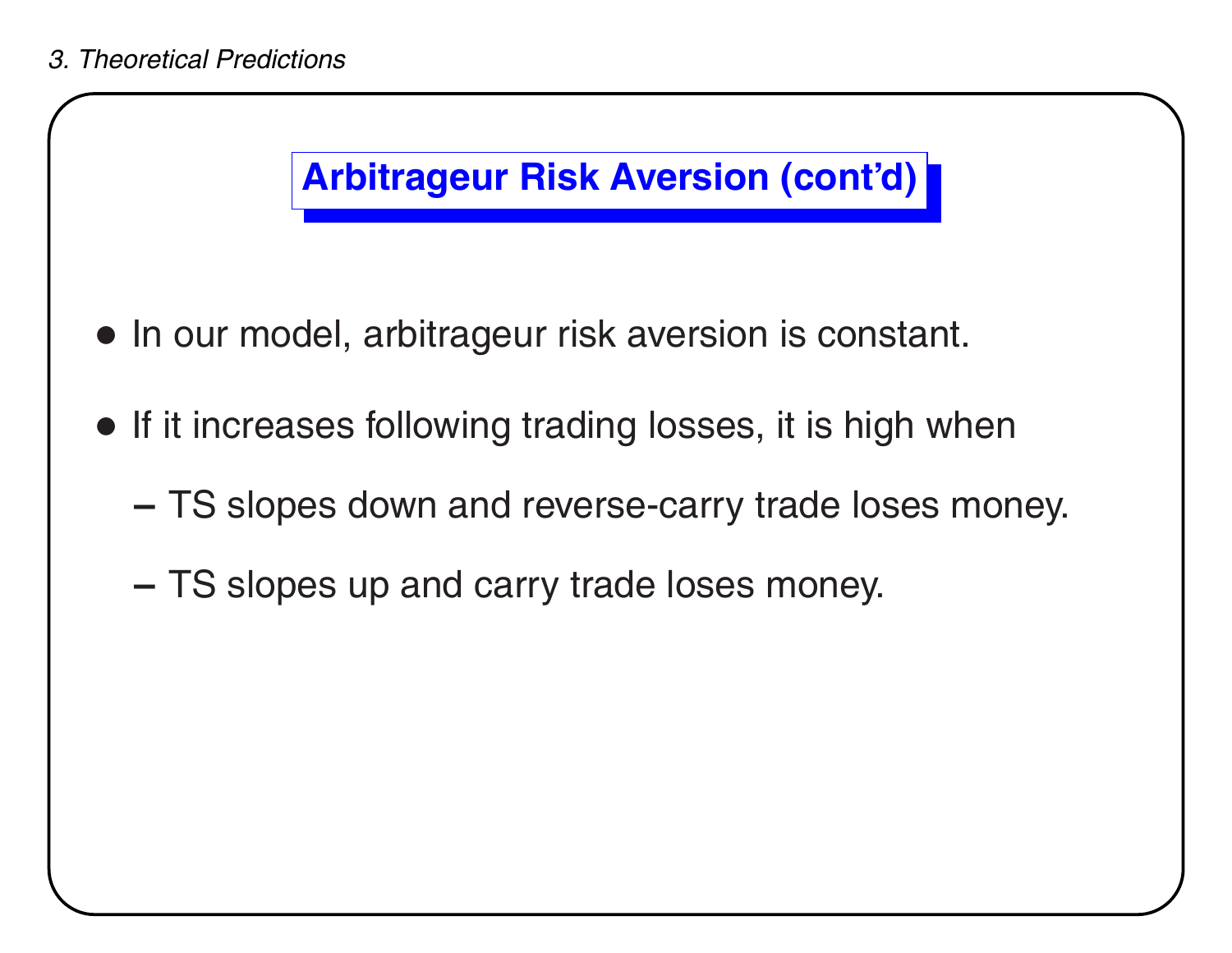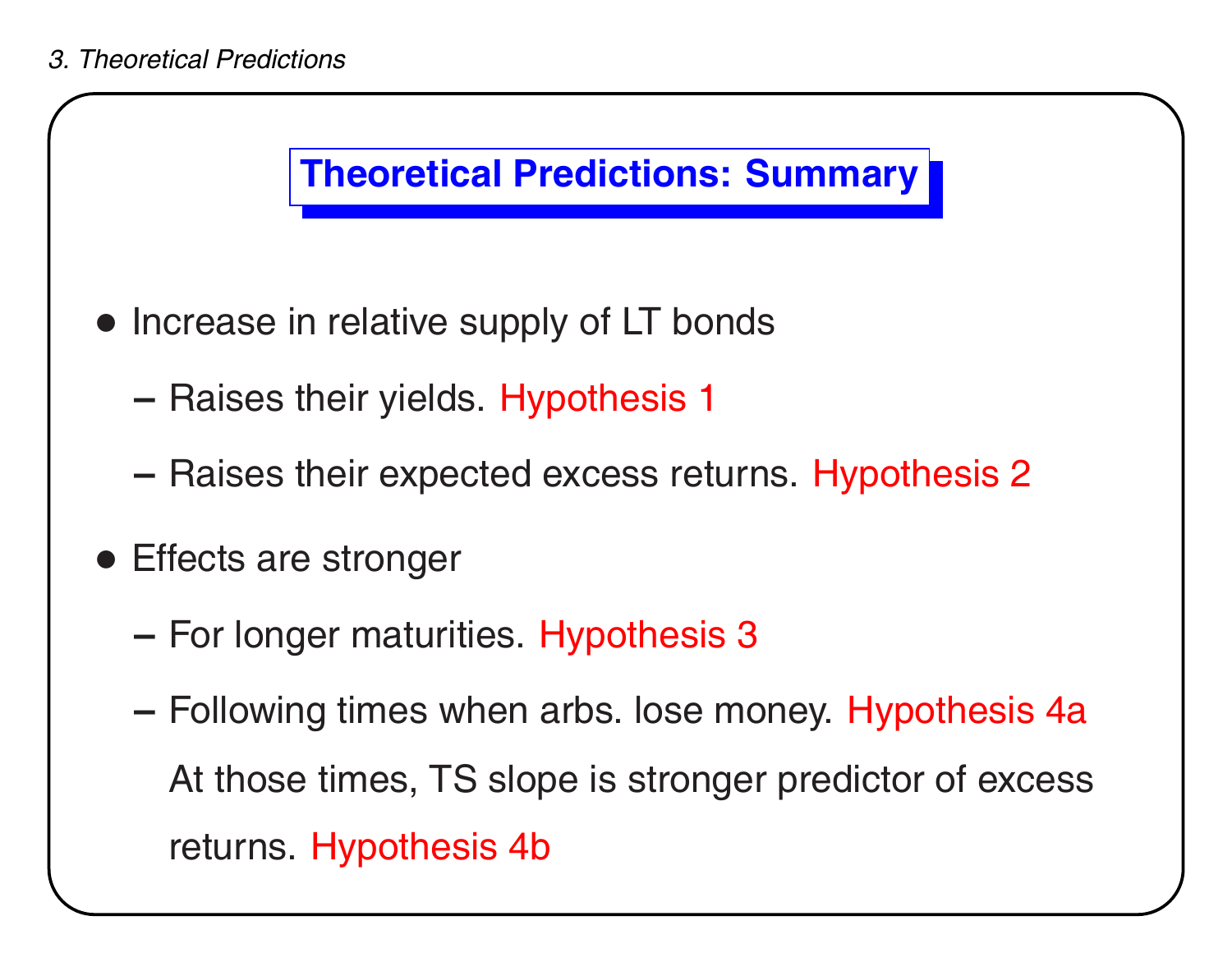

- Increase in relative supply of LT bonds
	- **–**- Raises their yields. Hypothesis 1
	- **–**– Raises their expected excess returns. Hypothesis 2
- Effects are stronger
	- **–**- For longer maturities. Hypothesis 3
	- **–** Following times when arbs. lose money. Hypothesis 4a At those times, TS slope is stronger predictor of excess returns. Hypothesis 4b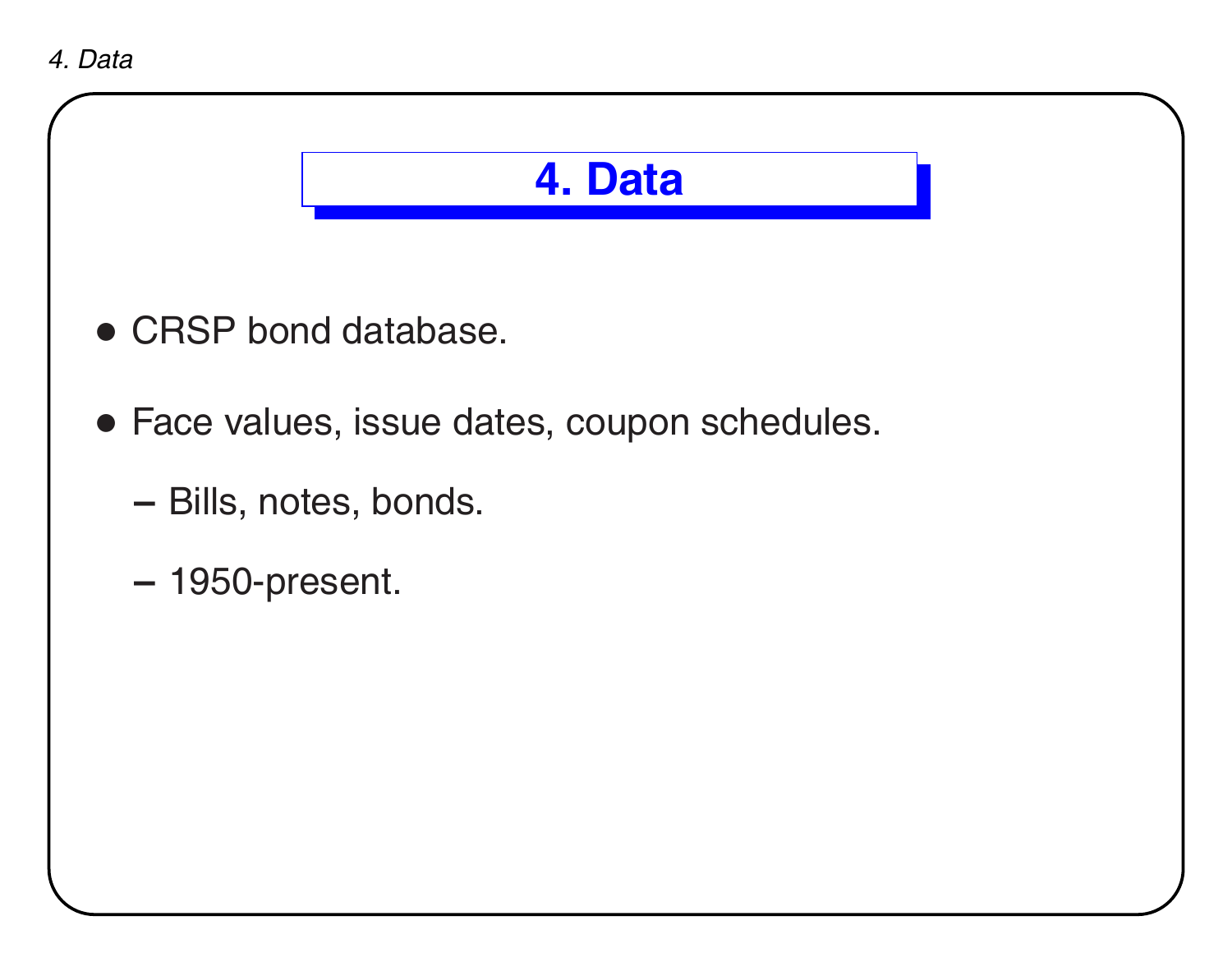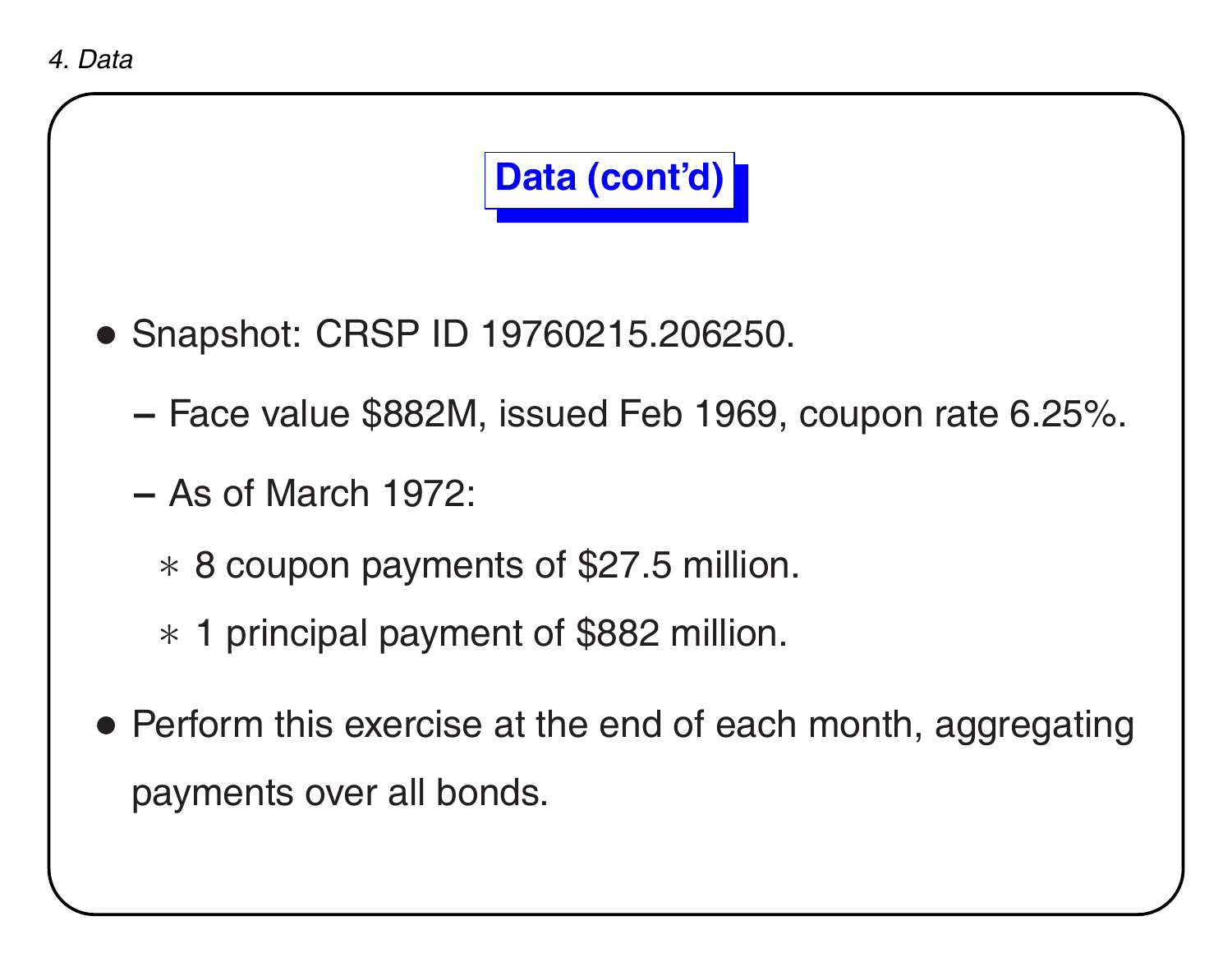

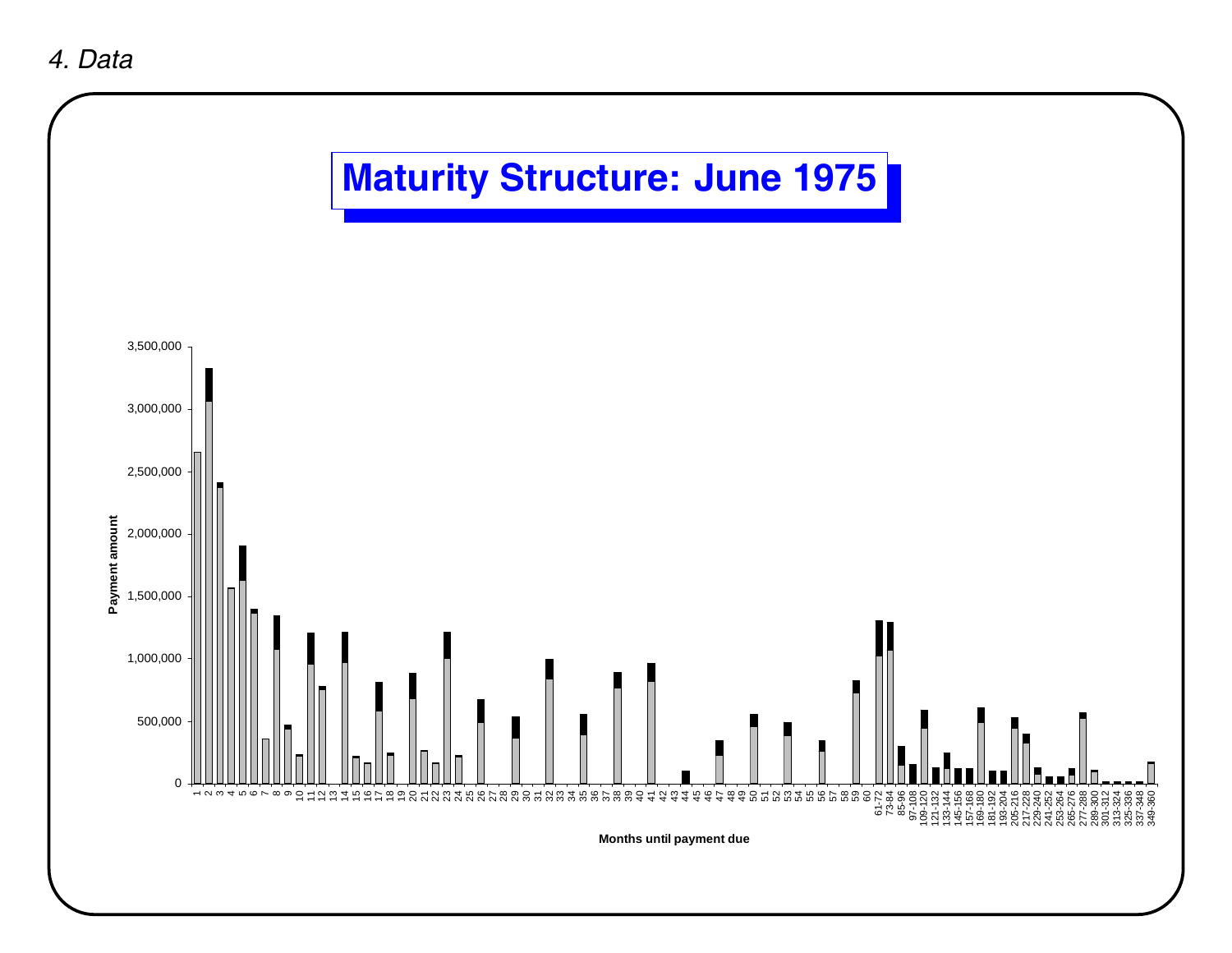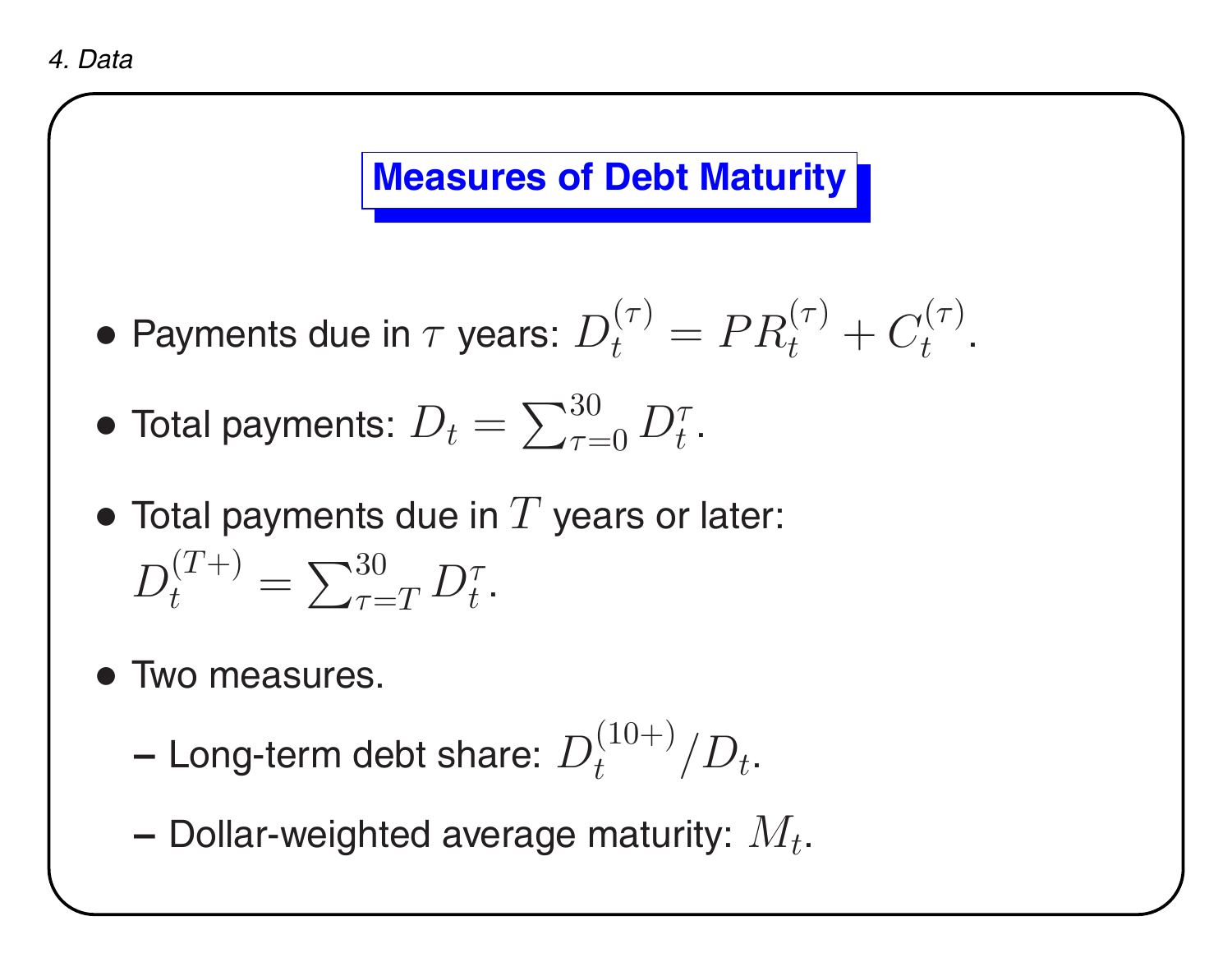### **Measures of Debt Maturity**

• Payments due in  $\tau$  years:  $D$  $(\tau)$  $t^{\left( \right) \prime }=PR$  $(\tau)$  $t^{\left(\prime\right)}+C$  $(\tau)$  $t$  .

- $\bullet$  Total payments:  $D_t = \sum_{\tau=1}^{30}$  $\tau{=}0$  $D_\star^\tau$  $t$  .
- $\bullet$  Total payments due in  $T$  years or later:  $\,D$  $(T+)$  $t^{(T+)} = \sum_{\tau=1}^{30}$  $\tau{=}T$  $D_\star^\tau$  $t$  .
- Two measures.
	- **–**– Long-term debt share:  $D_t^{(10+)}/D_t.$

**–**- Dollar-weighted average maturity:  $M_t.$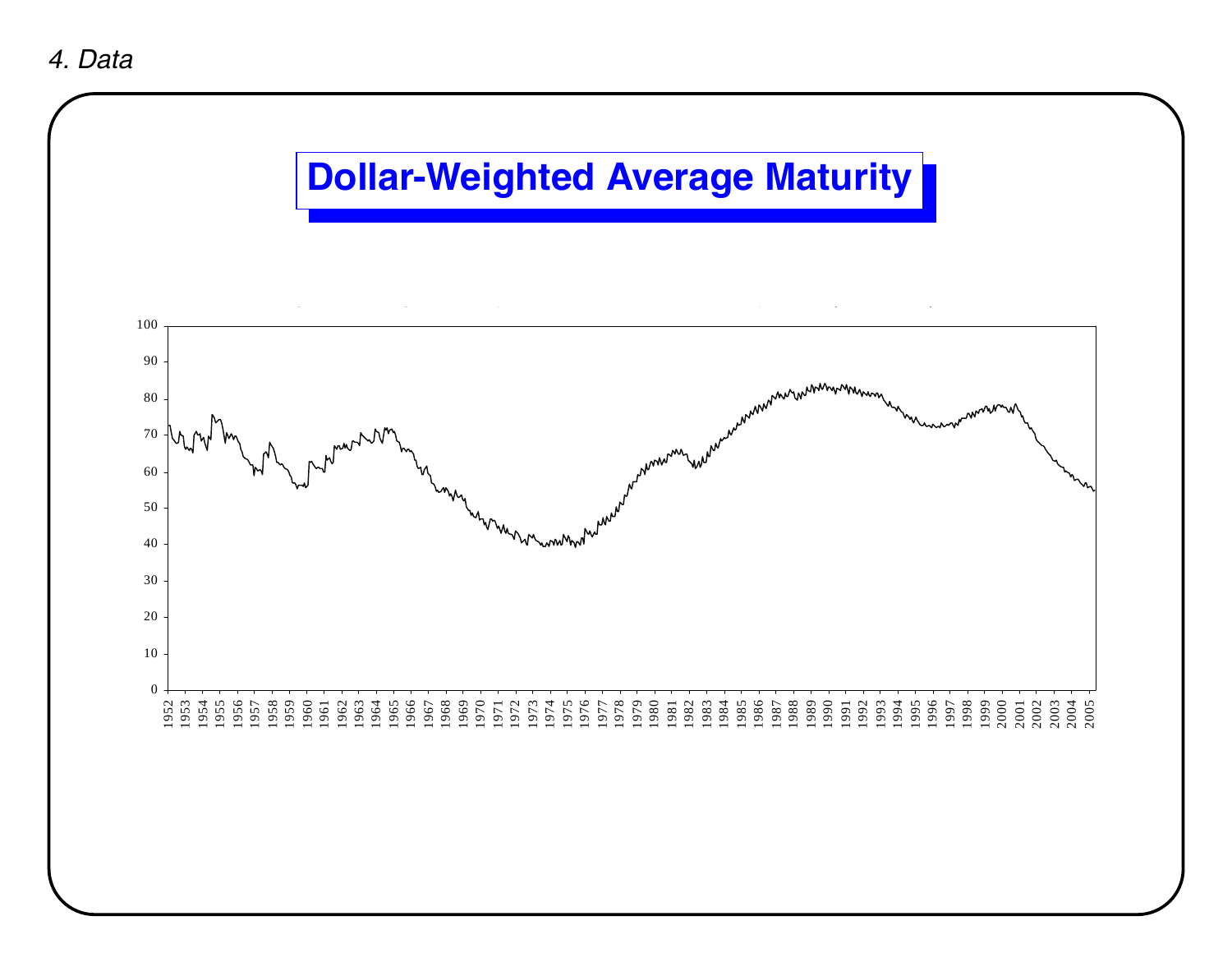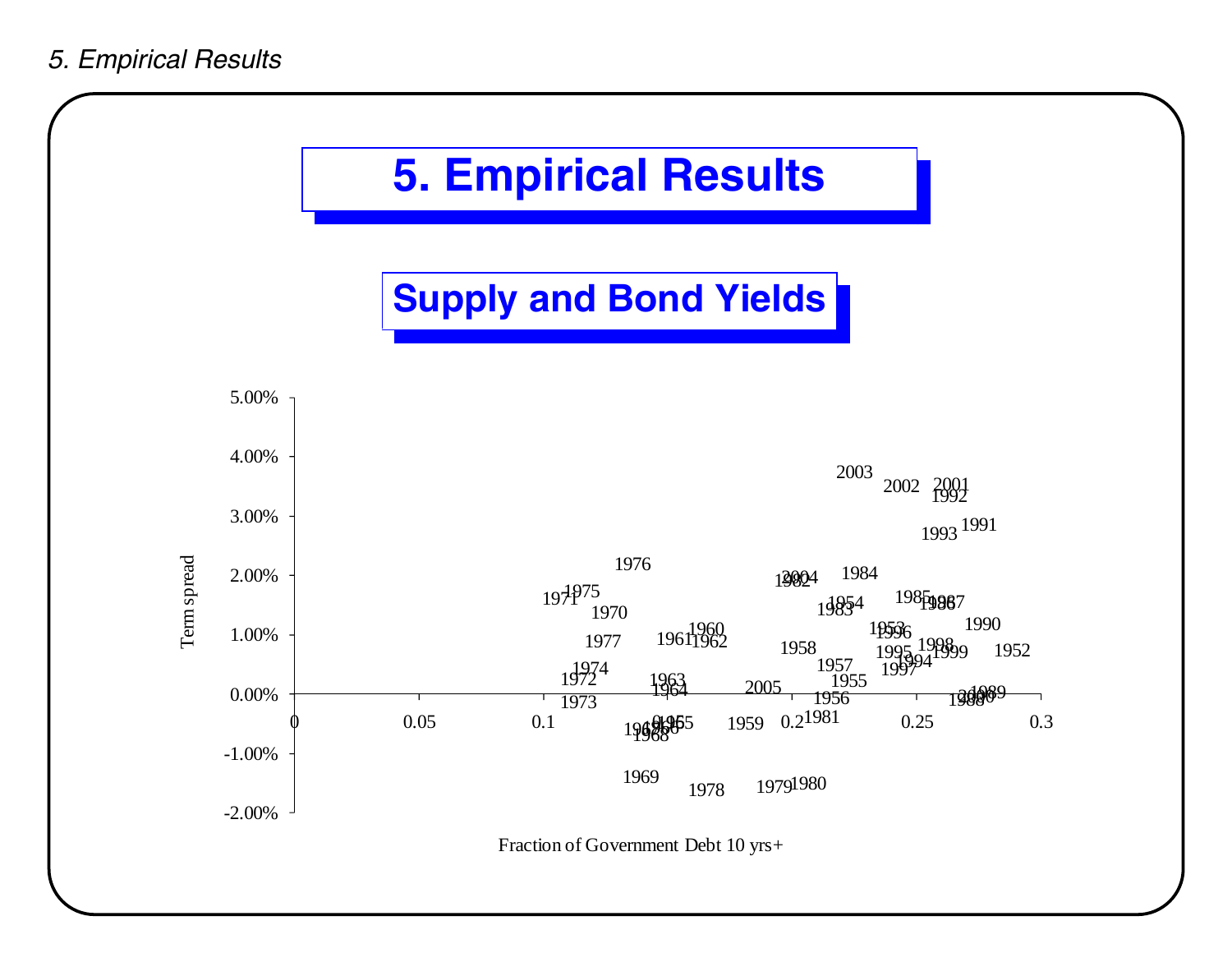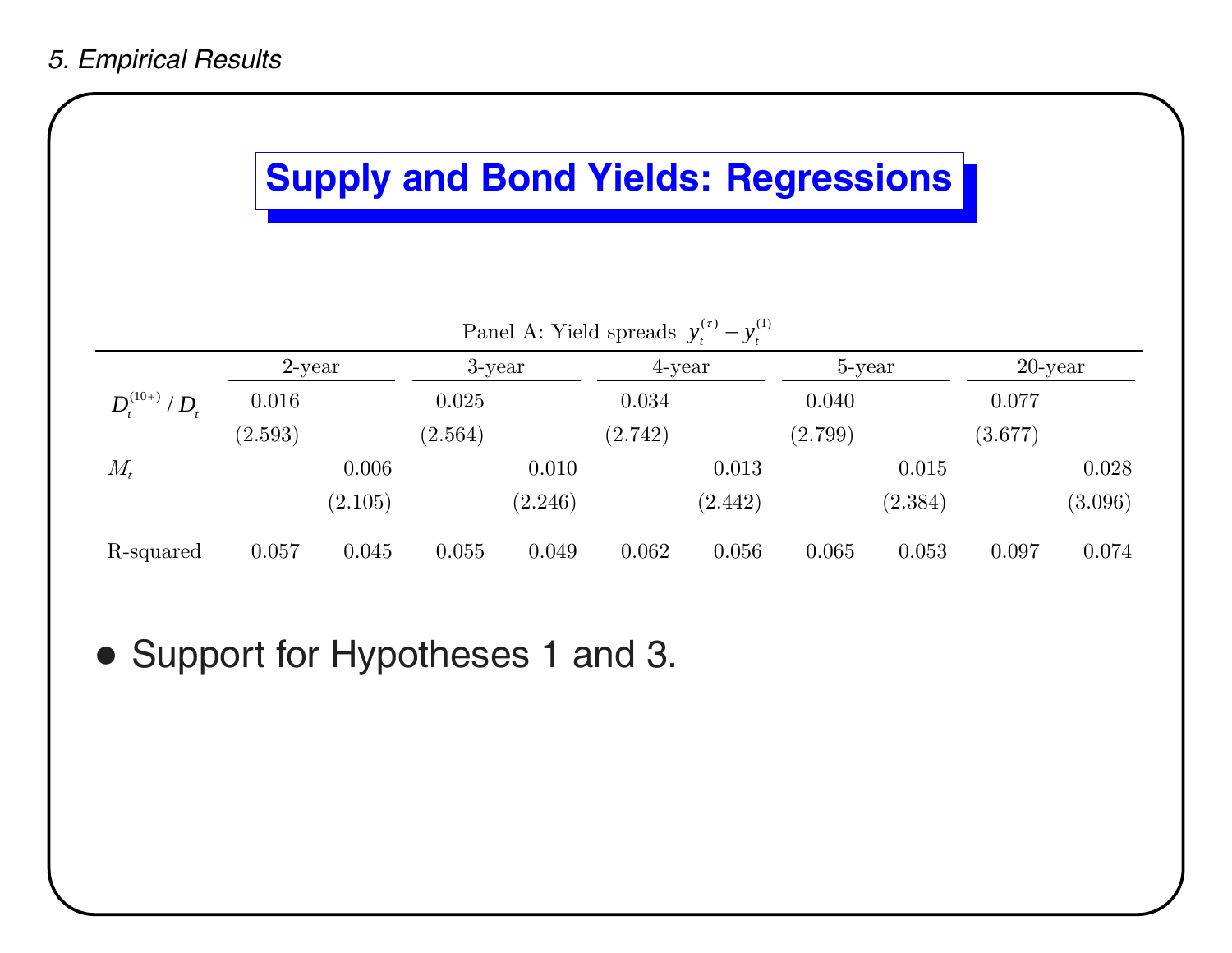#### *5. Empirical Results*

## **Supply and Bond Yields: Regressions**

| Panel A: Yield spreads $y_t^{(r)} - y_t^{(1)}$ |           |         |           |         |         |         |         |         |            |         |
|------------------------------------------------|-----------|---------|-----------|---------|---------|---------|---------|---------|------------|---------|
|                                                | $2$ -year |         | $3$ -year |         | 4-year  |         | 5-year  |         | $20$ -year |         |
| $D_{t}^{(10+)} / D_{t}$                        | 0.016     |         | 0.025     |         | 0.034   |         | 0.040   |         | 0.077      |         |
|                                                | (2.593)   |         | (2.564)   |         | (2.742) |         | (2.799) |         | (3.677)    |         |
| $M_t$                                          |           | 0.006   |           | 0.010   |         | 0.013   |         | 0.015   |            | 0.028   |
|                                                |           | (2.105) |           | (2.246) |         | (2.442) |         | (2.384) |            | (3.096) |
| R-squared                                      | 0.057     | 0.045   | 0.055     | 0.049   | 0.062   | 0.056   | 0.065   | 0.053   | 0.097      | 0.074   |

• Support for Hypotheses 1 and 3.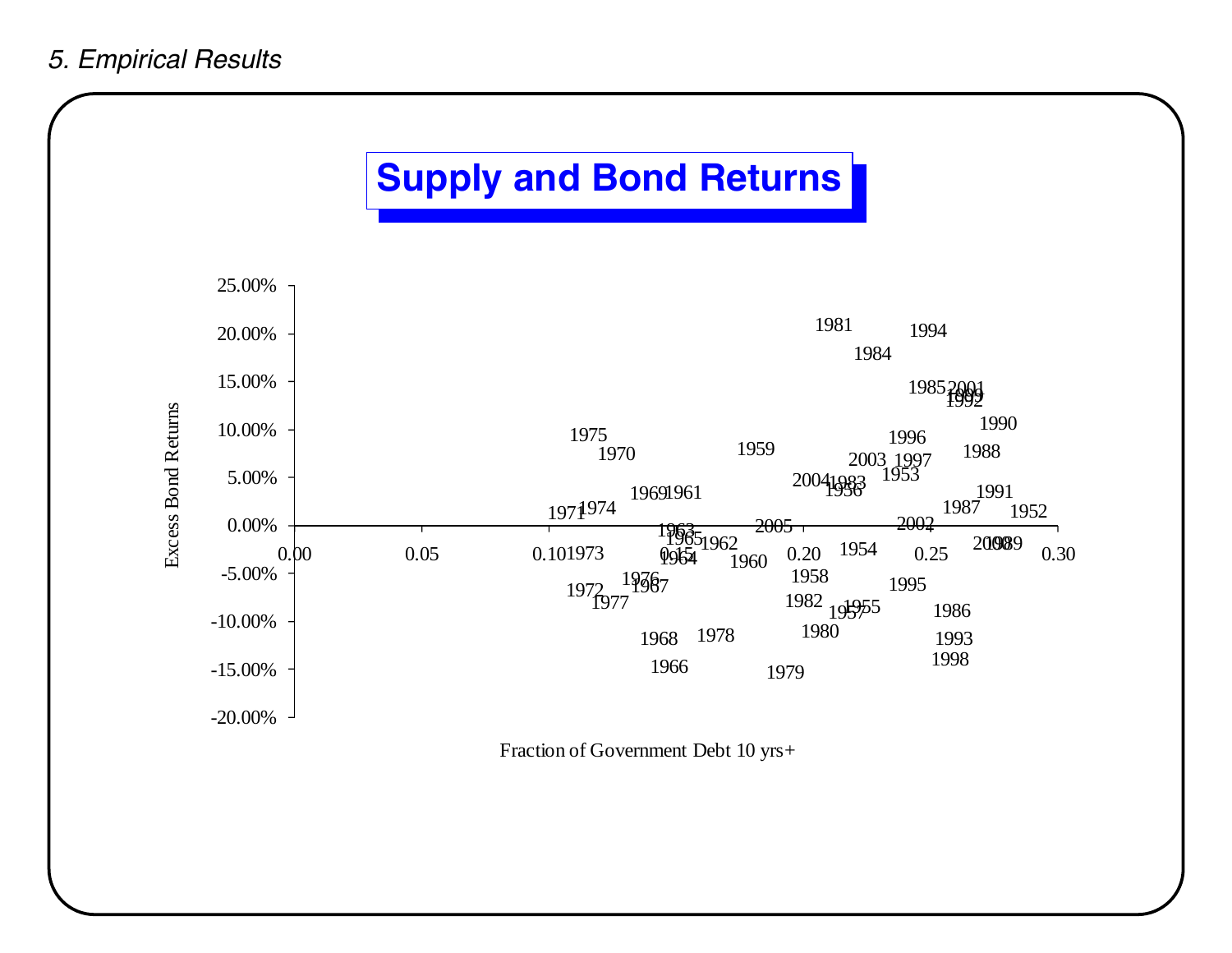## **Supply and Bond Returns**



Fraction of Government Debt 10 yrs+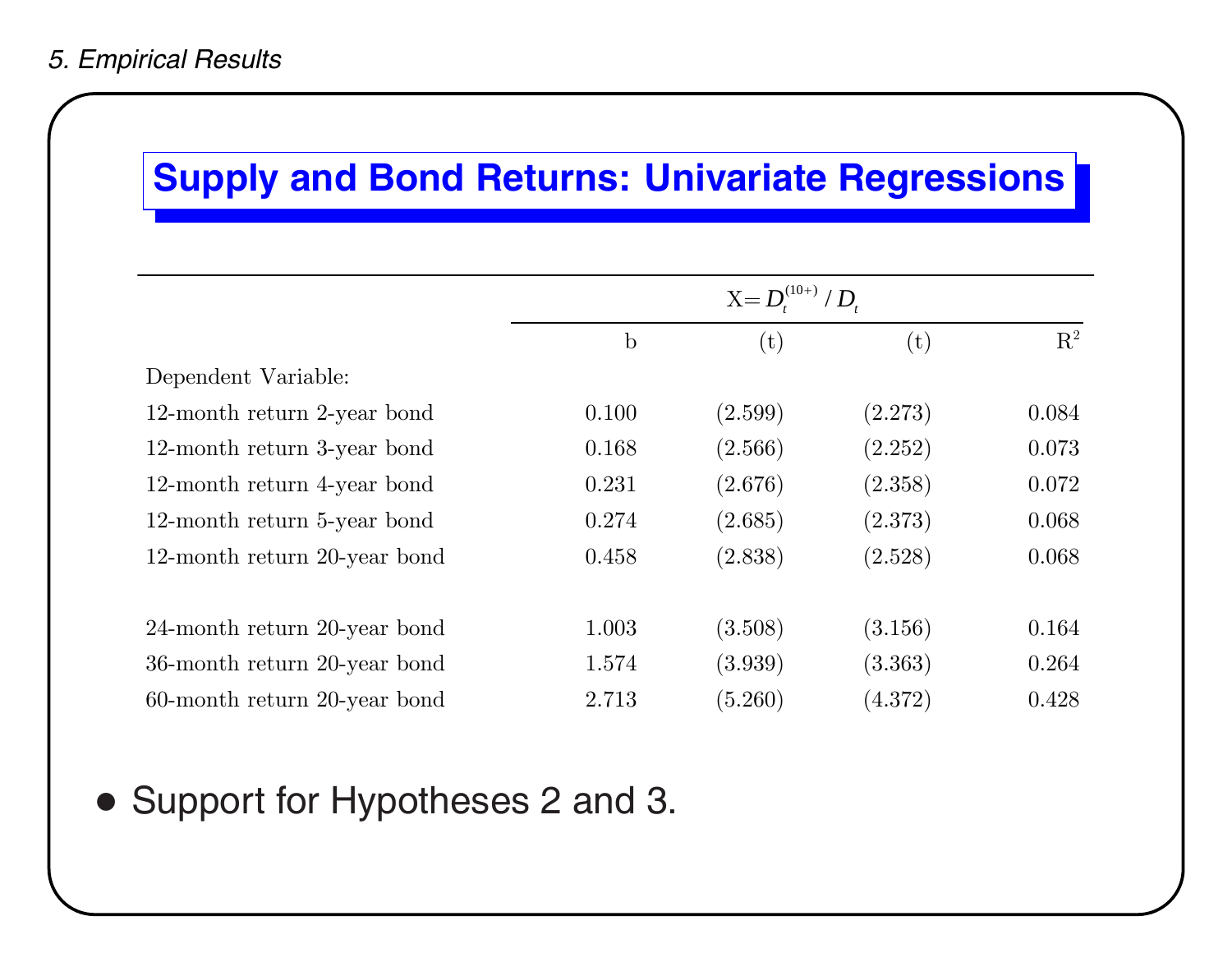### **Supply and Bond Returns: Univariate Regressions**

|                              | $\mathbf b$ | (t)     | $(\mathrm{t})$ | $\mathbf{R}^2$ |
|------------------------------|-------------|---------|----------------|----------------|
| Dependent Variable:          |             |         |                |                |
| 12-month return 2-year bond  | 0.100       | (2.599) | (2.273)        | 0.084          |
| 12-month return 3-year bond  | 0.168       | (2.566) | (2.252)        | 0.073          |
| 12-month return 4-year bond  | 0.231       | (2.676) | (2.358)        | 0.072          |
| 12-month return 5-year bond  | 0.274       | (2.685) | (2.373)        | 0.068          |
| 12-month return 20-year bond | 0.458       | (2.838) | (2.528)        | 0.068          |
|                              |             |         |                |                |
| 24-month return 20-year bond | 1.003       | (3.508) | (3.156)        | 0.164          |
| 36-month return 20-year bond | 1.574       | (3.939) | (3.363)        | 0.264          |
| 60-month return 20-year bond | 2.713       | (5.260) | (4.372)        | 0.428          |

### • Support for Hypotheses 2 and 3.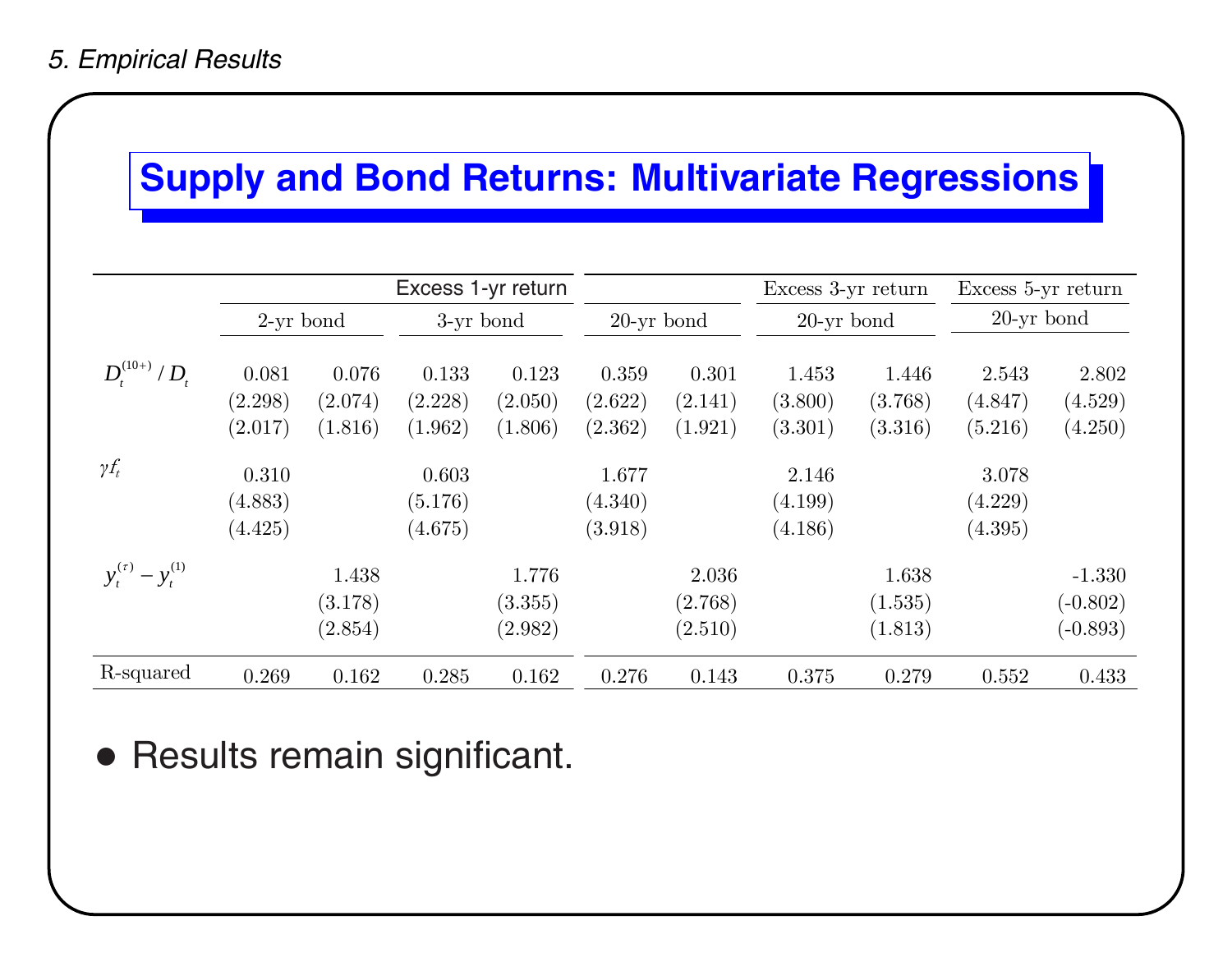### **Supply and Bond Returns: Multivariate Regressions**

|                            |                             |                             |                             | Excess 1-yr return          |                             |                             | Excess 3-yr return          |                             | Excess 5-yr return          |                                      |
|----------------------------|-----------------------------|-----------------------------|-----------------------------|-----------------------------|-----------------------------|-----------------------------|-----------------------------|-----------------------------|-----------------------------|--------------------------------------|
|                            | $2$ -yr bond                |                             | 3-yr bond                   |                             | $20$ -yr bond               |                             | $20$ -yr bond               |                             | $20$ -yr bond               |                                      |
| $D_t^{(10+)} / D_t$        | 0.081<br>(2.298)<br>(2.017) | 0.076<br>(2.074)<br>(1.816) | 0.133<br>(2.228)<br>(1.962) | 0.123<br>(2.050)<br>(1.806) | 0.359<br>(2.622)<br>(2.362) | 0.301<br>(2.141)<br>(1.921) | 1.453<br>(3.800)<br>(3.301) | 1.446<br>(3.768)<br>(3.316) | 2.543<br>(4.847)<br>(5.216) | 2.802<br>(4.529)<br>(4.250)          |
| $\gamma f_t$               | 0.310<br>(4.883)<br>(4.425) |                             | 0.603<br>(5.176)<br>(4.675) |                             | 1.677<br>(4.340)<br>(3.918) |                             | 2.146<br>(4.199)<br>(4.186) |                             | 3.078<br>(4.229)<br>(4.395) |                                      |
| $y_t^{(\tau)} - y_t^{(1)}$ |                             | 1.438<br>(3.178)<br>(2.854) |                             | 1.776<br>(3.355)<br>(2.982) |                             | 2.036<br>(2.768)<br>(2.510) |                             | 1.638<br>(1.535)<br>(1.813) |                             | $-1.330$<br>$(-0.802)$<br>$(-0.893)$ |
| R-squared                  | 0.269                       | 0.162                       | 0.285                       | 0.162                       | 0.276                       | 0.143                       | 0.375                       | 0.279                       | 0.552                       | 0.433                                |

• Results remain significant.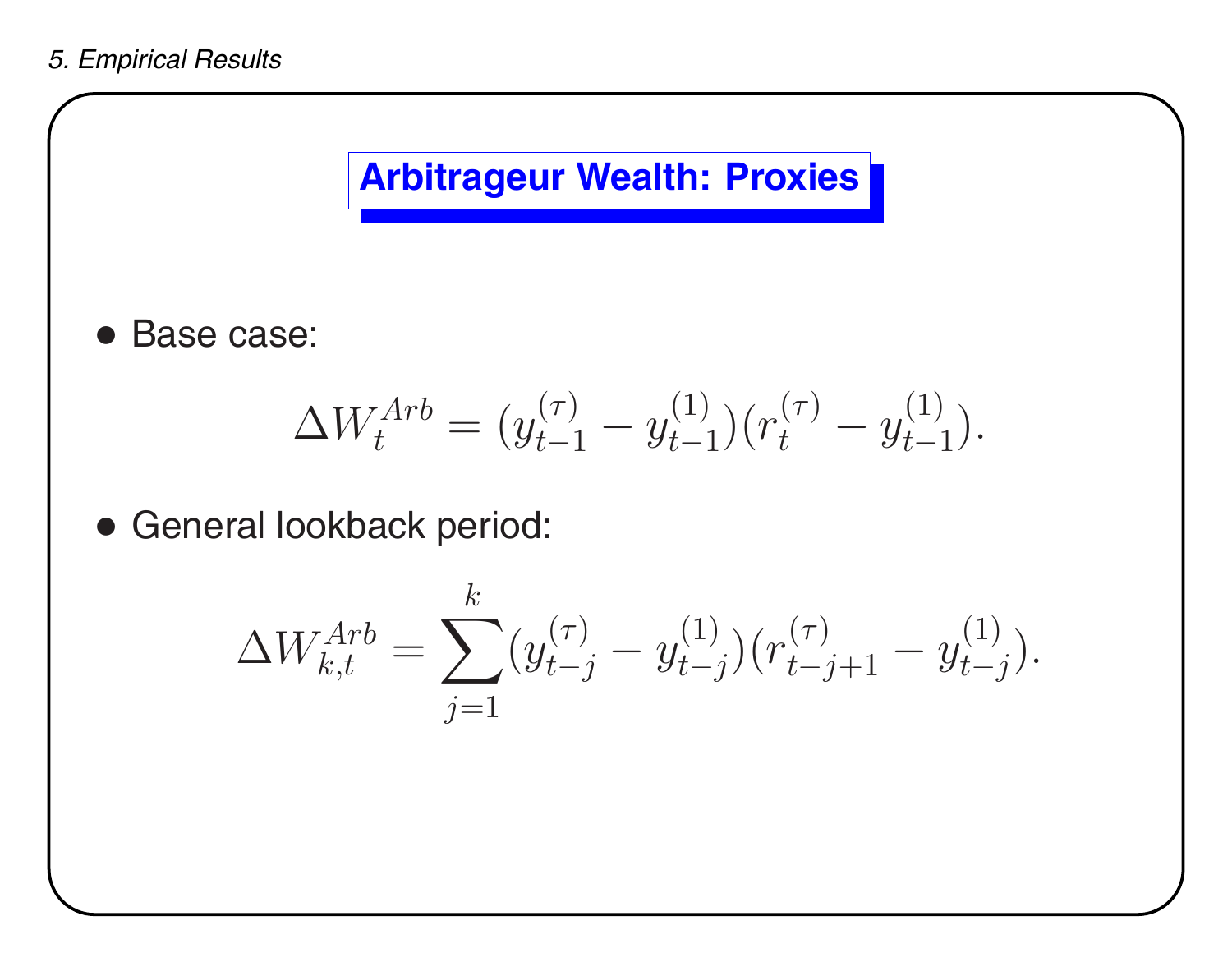

• Base case:

$$
\Delta W_t^{Arb} = (y_{t-1}^{(\tau)} - y_{t-1}^{(1)})(r_t^{(\tau)} - y_{t-1}^{(1)}).
$$

• General lookback period:

$$
\Delta W_{k,t}^{Arb} = \sum_{j=1}^{k} (y_{t-j}^{(\tau)} - y_{t-j}^{(1)}) (r_{t-j+1}^{(\tau)} - y_{t-j}^{(1)}).
$$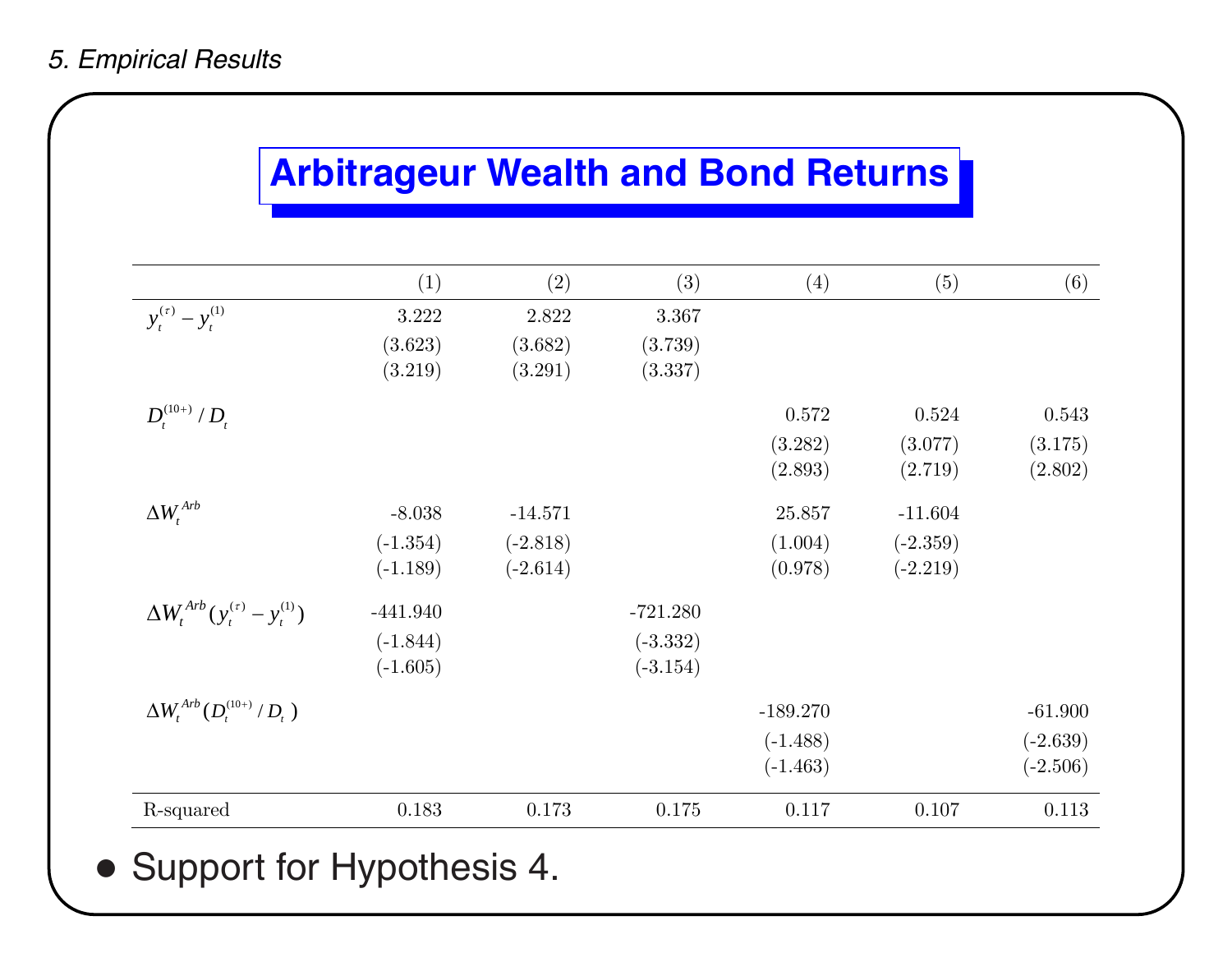#### *5. Empirical Results*

### **Arbitrageur Wealth and Bond Returns**

|                                               | (1)        | (2)        | (3)        | (4)        | (5)        | (6)        |
|-----------------------------------------------|------------|------------|------------|------------|------------|------------|
| $y_t^{(\tau)} - y_t^{(1)}$                    | 3.222      | 2.822      | 3.367      |            |            |            |
|                                               | (3.623)    | (3.682)    | (3.739)    |            |            |            |
|                                               | (3.219)    | (3.291)    | (3.337)    |            |            |            |
| $D_t^{(10+)} / D_t$                           |            |            |            | 0.572      | 0.524      | 0.543      |
|                                               |            |            |            | (3.282)    | (3.077)    | (3.175)    |
|                                               |            |            |            | (2.893)    | (2.719)    | (2.802)    |
| $\Delta W_t^{Arb}$                            | $-8.038$   | $-14.571$  |            | 25.857     | $-11.604$  |            |
|                                               | $(-1.354)$ | $(-2.818)$ |            | (1.004)    | $(-2.359)$ |            |
|                                               | $(-1.189)$ | $(-2.614)$ |            | (0.978)    | $(-2.219)$ |            |
| $\Delta W_t^{Arb} (y_t^{(\tau)} - y_t^{(1)})$ | $-441.940$ |            | $-721.280$ |            |            |            |
|                                               | $(-1.844)$ |            | $(-3.332)$ |            |            |            |
|                                               | $(-1.605)$ |            | $(-3.154)$ |            |            |            |
| $\Delta W_t^{Arb} (D_t^{(10+)} / D_t)$        |            |            |            | $-189.270$ |            | $-61.900$  |
|                                               |            |            |            | $(-1.488)$ |            | $(-2.639)$ |
|                                               |            |            |            | $(-1.463)$ |            | $(-2.506)$ |
| R-squared                                     | 0.183      | 0.173      | 0.175      | 0.117      | 0.107      | 0.113      |

### • Support for Hypothesis 4.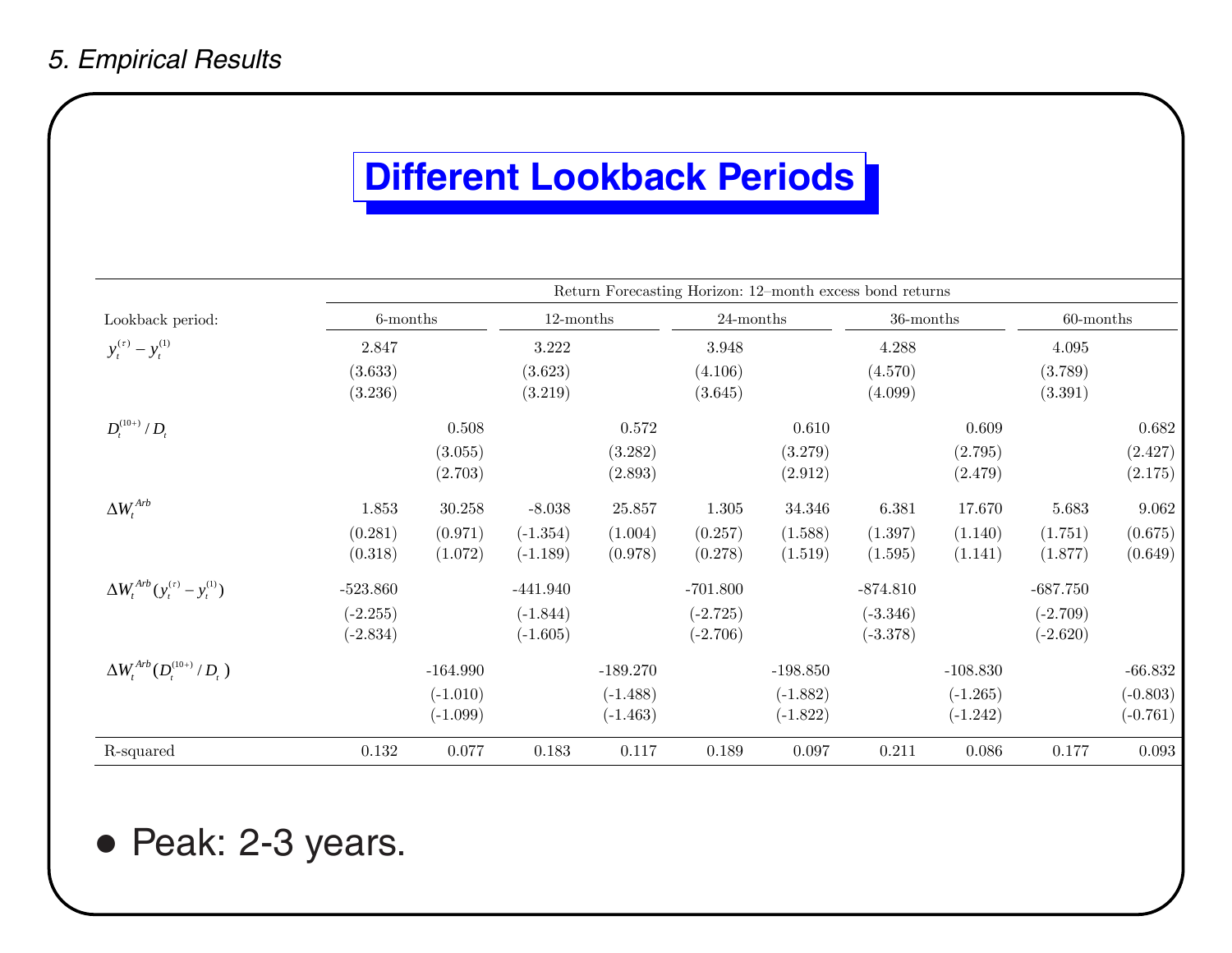### **Different Lookback Periods**

|                                               | Return Forecasting Horizon: 12-month excess bond returns |            |              |            |              |            |            |            |              |            |
|-----------------------------------------------|----------------------------------------------------------|------------|--------------|------------|--------------|------------|------------|------------|--------------|------------|
| Lookback period:                              | $6$ -months                                              |            | $12$ -months |            | $24$ -months |            | 36-months  |            | $60$ -months |            |
| $y_t^{(\tau)} - y_t^{(1)}$                    | 2.847                                                    |            | 3.222        |            | 3.948        |            | 4.288      |            | 4.095        |            |
|                                               | (3.633)                                                  |            | (3.623)      |            | (4.106)      |            | (4.570)    |            | (3.789)      |            |
|                                               | (3.236)                                                  |            | (3.219)      |            | (3.645)      |            | (4.099)    |            | (3.391)      |            |
| $D_t^{(10+)} / D_t$                           |                                                          | 0.508      |              | 0.572      |              | 0.610      |            | 0.609      |              | 0.682      |
|                                               |                                                          | (3.055)    |              | (3.282)    |              | (3.279)    |            | (2.795)    |              | (2.427)    |
|                                               |                                                          | (2.703)    |              | (2.893)    |              | (2.912)    |            | (2.479)    |              | (2.175)    |
| $\Delta W_t^{Arb}$                            | 1.853                                                    | 30.258     | $-8.038$     | 25.857     | $1.305\,$    | 34.346     | 6.381      | 17.670     | 5.683        | 9.062      |
|                                               | (0.281)                                                  | (0.971)    | $(-1.354)$   | (1.004)    | (0.257)      | (1.588)    | (1.397)    | (1.140)    | (1.751)      | (0.675)    |
|                                               | (0.318)                                                  | (1.072)    | $(-1.189)$   | (0.978)    | (0.278)      | (1.519)    | (1.595)    | (1.141)    | (1.877)      | (0.649)    |
| $\Delta W_t^{Arb} (y_t^{(\tau)} - y_t^{(1)})$ | $-523.860$                                               |            | $-441.940$   |            | $-701.800$   |            | $-874.810$ |            | $-687.750$   |            |
|                                               | $(-2.255)$                                               |            | $(-1.844)$   |            | $(-2.725)$   |            | $(-3.346)$ |            | $(-2.709)$   |            |
|                                               | $(-2.834)$                                               |            | $(-1.605)$   |            | $(-2.706)$   |            | $(-3.378)$ |            | $(-2.620)$   |            |
| $\Delta W_t^{Arb} (D_t^{(10+)} / D_t)$        |                                                          | $-164.990$ |              | $-189.270$ |              | $-198.850$ |            | $-108.830$ |              | $-66.832$  |
|                                               |                                                          | $(-1.010)$ |              | $(-1.488)$ |              | $(-1.882)$ |            | $(-1.265)$ |              | $(-0.803)$ |
|                                               |                                                          | $(-1.099)$ |              | $(-1.463)$ |              | $(-1.822)$ |            | $(-1.242)$ |              | $(-0.761)$ |
| R-squared                                     | $0.132\,$                                                | 0.077      | 0.183        | 0.117      | 0.189        | 0.097      | 0.211      | 0.086      | 0.177        | 0.093      |

• Peak: 2-3 years.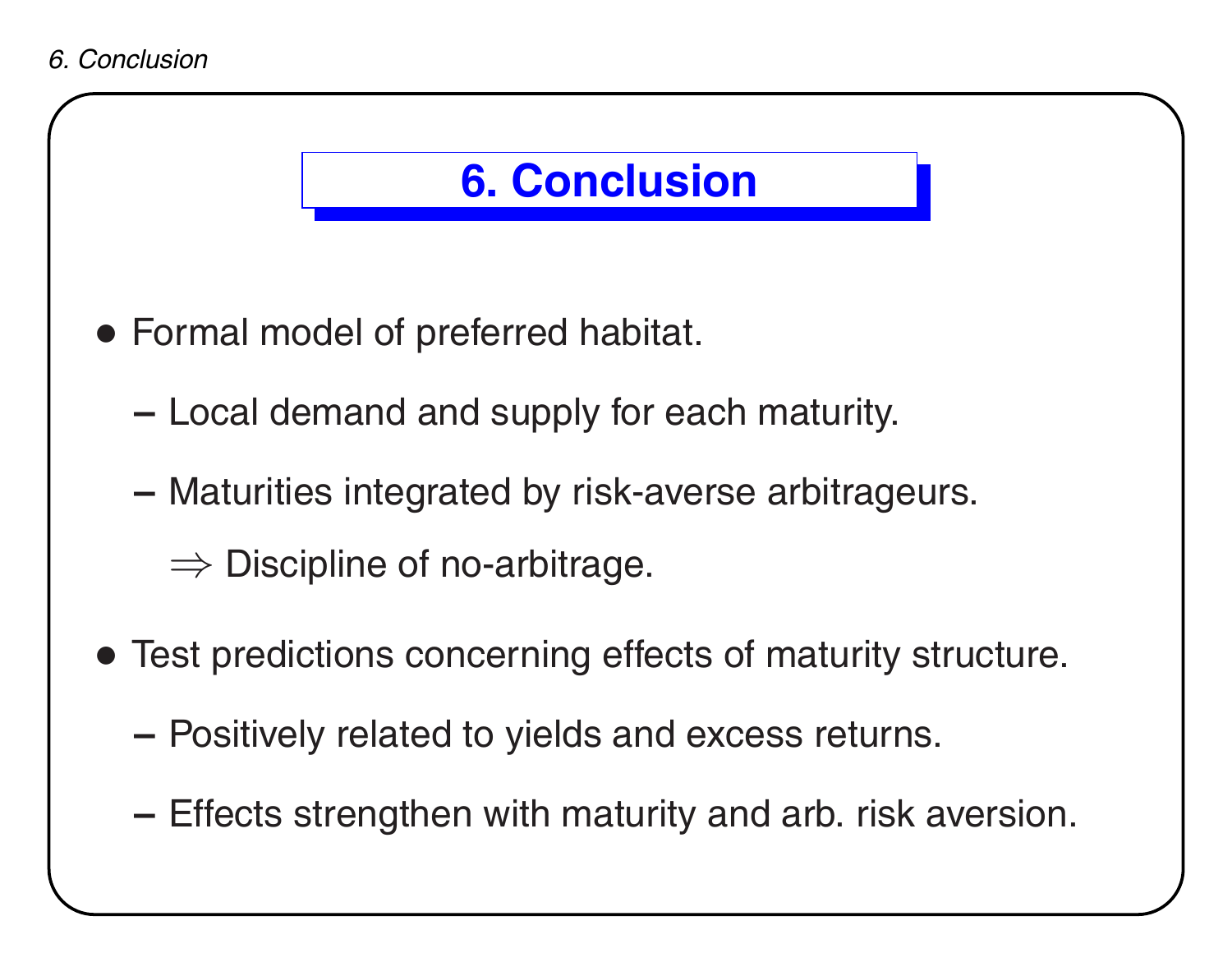



**–**Effects strengthen with maturity and arb. risk aversion.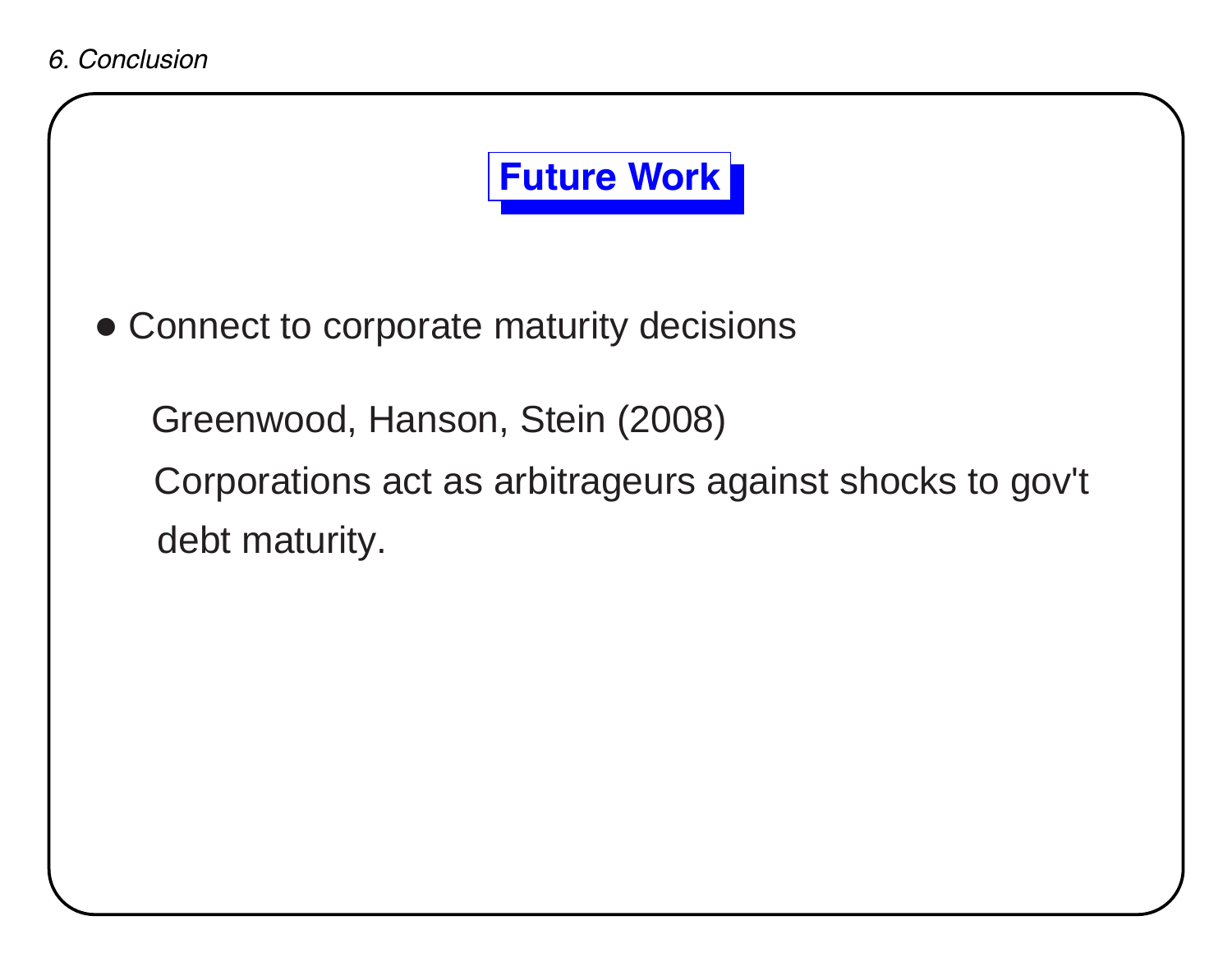